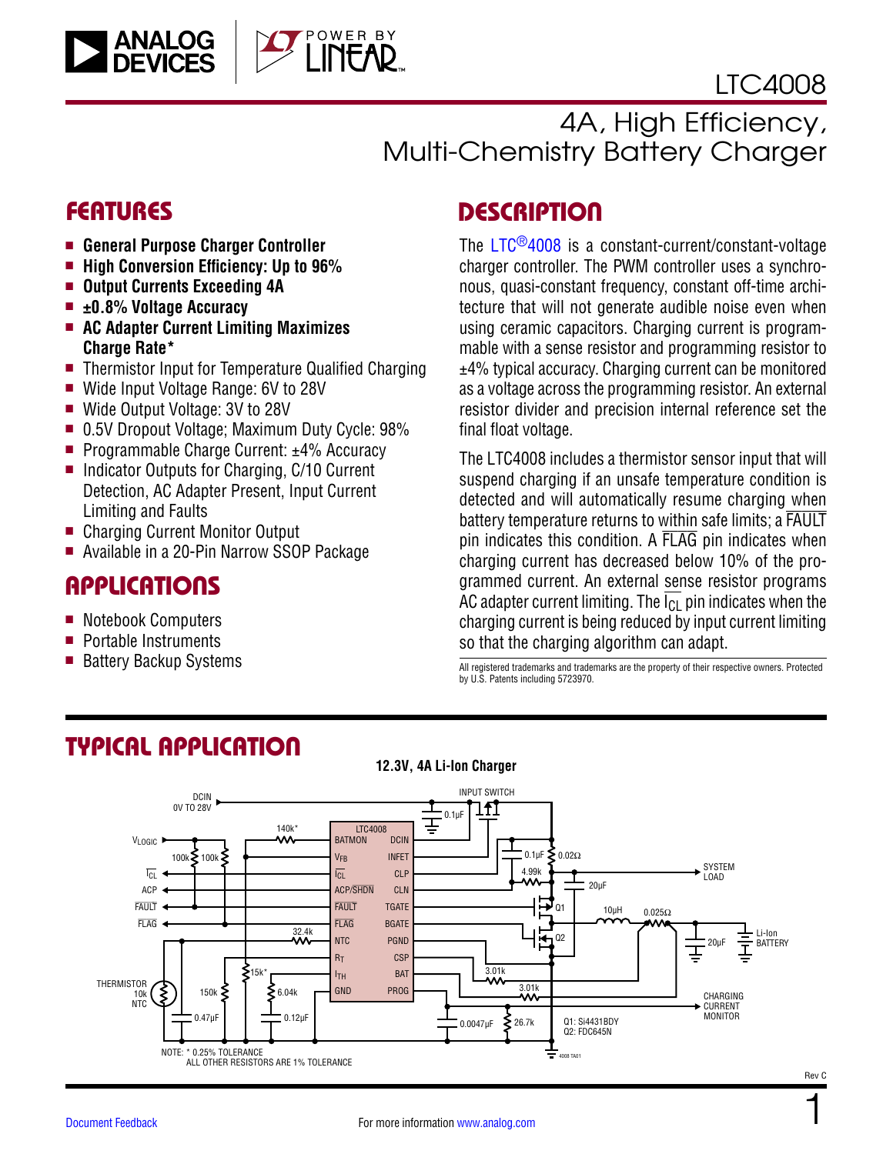

1

# 4A, High Efficiency, Multi-Chemistry Battery Charger

## **FEATURES**

- <sup>n</sup> **General Purpose Charger Controller**
- $\blacksquare$  High Conversion Efficiency: Up to 96%
- Output Currents Exceeding 4A
- ±0.8% Voltage Accuracy

**ANALOG**<br>DEVICES

- AC Adapter Current Limiting Maximizes **Charge Rate\***
- Thermistor Input for Temperature Qualified Charging

OWER BY

- Wide Input Voltage Range: 6V to 28V
- Wide Output Voltage: 3V to 28V
- 0.5V Dropout Voltage; Maximum Duty Cycle: 98%
- Programmable Charge Current: ±4% Accuracy
- Indicator Outputs for Charging, C/10 Current Detection, AC Adapter Present, Input Current Limiting and Faults
- Charging Current Monitor Output
- Available in a 20-Pin Narrow SSOP Package

### APPLICATIONS

- Notebook Computers
- $\blacksquare$  Portable Instruments
- Battery Backup Systems

## **DESCRIPTION**

The LTC[®4008](http://www.analog.com/LTC4008?doc=LTC4008.pdf) is a constant-current/constant-voltage charger controller. The PWM controller uses a synchronous, quasi-constant frequency, constant off-time architecture that will not generate audible noise even when using ceramic capacitors. Charging current is programmable with a sense resistor and programming resistor to ±4% typical accuracy. Charging current can be monitored as a voltage across the programming resistor. An external resistor divider and precision internal reference set the final float voltage.

The LTC4008 includes a thermistor sensor input that will suspend charging if an unsafe temperature condition is detected and will automatically resume charging when battery temperature returns to within safe limits; a FAULT pin indicates this condition. A FLAG pin indicates when charging current has decreased below 10% of the programmed current. An external sense resistor programs AC adapter current limiting. The  $\overline{I_{Cl}}$  pin indicates when the charging current is being reduced by input current limiting so that the charging algorithm can adapt.

All registered trademarks and trademarks are the property of their respective owners. Protected by U.S. Patents including 5723970.



# TYPICAL APPLICATION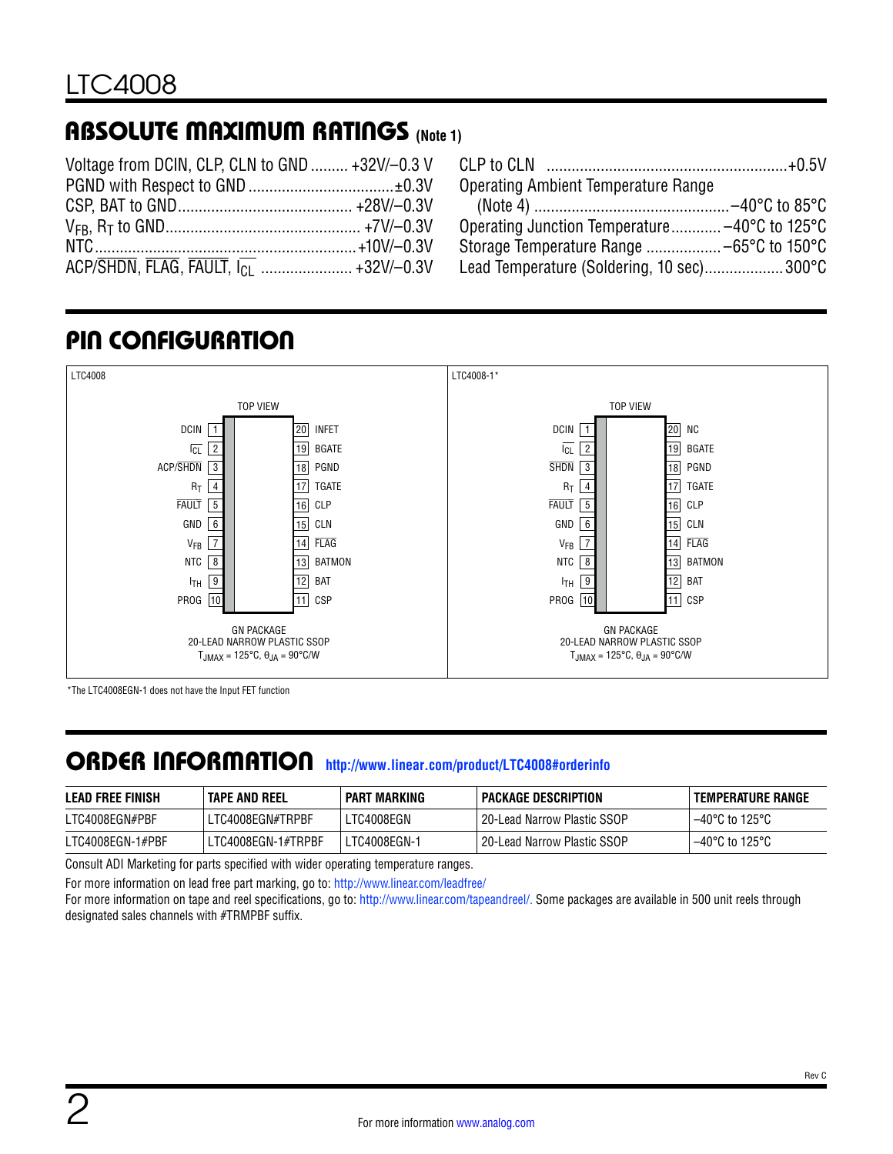# ABSOLUTE MAXIMUM RATINGS **(Note 1)**

| Voltage from DCIN, CLP, CLN to GND  +32V/-0.3 V |  |
|-------------------------------------------------|--|
|                                                 |  |
|                                                 |  |
|                                                 |  |
|                                                 |  |
|                                                 |  |

| Operating Ambient Temperature Range           |  |
|-----------------------------------------------|--|
|                                               |  |
| Operating Junction Temperature -40°C to 125°C |  |
| Storage Temperature Range  -65°C to 150°C     |  |
| Lead Temperature (Soldering, 10 sec) 300°C    |  |

# PIN CONFIGURATION



\*The LTC4008EGN-1 does not have the Input FET function

## ORDER INFORMATION **<http://www.linear.com/product/LTC4008#orderinfo>**

| <b>LEAD FREE FINISH</b> | <b>TAPE AND REEL</b> | PART MARKING | PACKAGE DESCRIPTION           | TEMPERATURE RANGE        |
|-------------------------|----------------------|--------------|-------------------------------|--------------------------|
| LTC4008EGN#PBF          | LTC4008EGN#TRPBF     | LTC4008EGN   | l 20-Lead Narrow Plastic SSOP | $-40^{\circ}$ C to 125°C |
| LTC4008EGN-1#PBF        | LTC4008EGN-1#TRPBF   | LTC4008EGN-1 | l 20-Lead Narrow Plastic SSOP | $-40^{\circ}$ C to 125°C |

Consult ADI Marketing for parts specified with wider operating temperature ranges.

For more information on lead free part marking, go to:<http://www.linear.com/leadfree/>

For more information on tape and reel specifications, go to: <http://www.linear.com/tapeandreel/>. Some packages are available in 500 unit reels through designated sales channels with #TRMPBF suffix.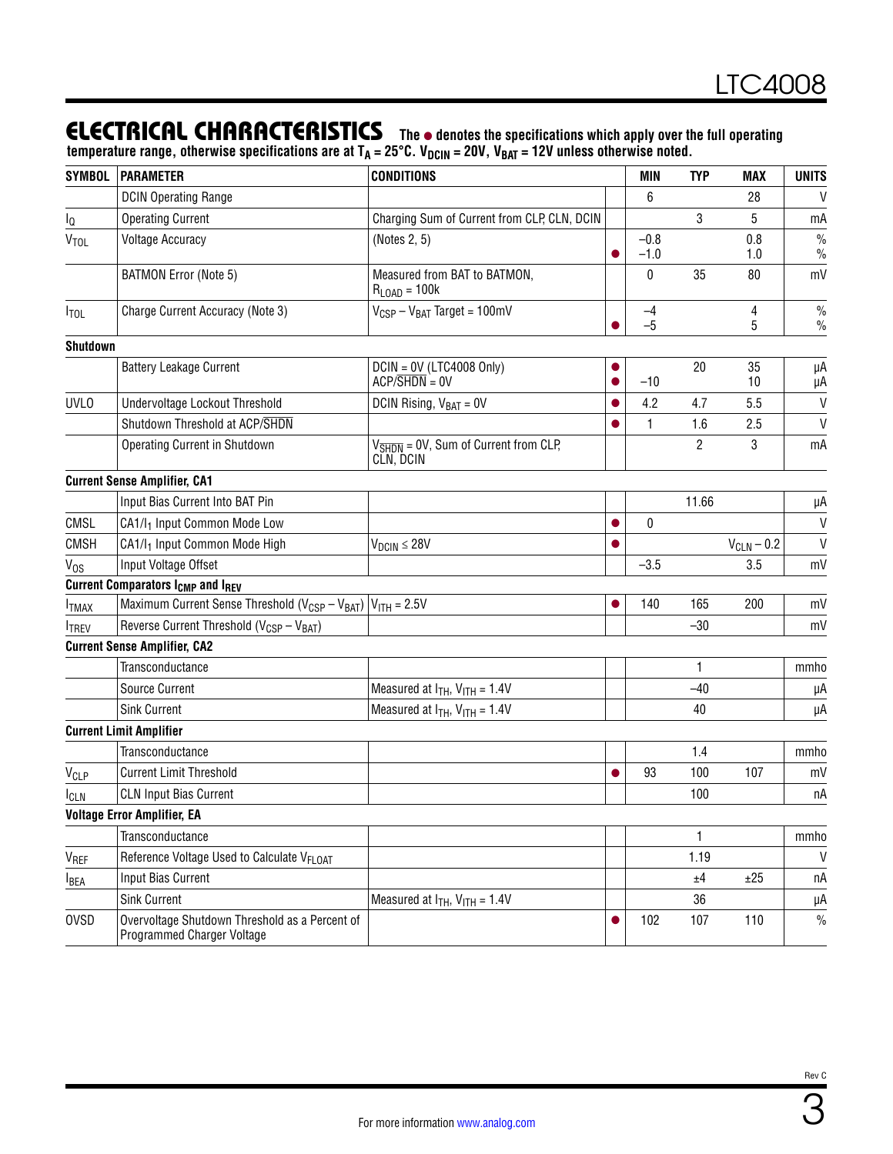### **ELECTRICAL CHARACTERISTICS** The  $\bullet$  denotes the specifications which apply over the full operating

temperature range, otherwise specifications are at T<sub>A</sub> = 25°C. V<sub>DCIN</sub> = 20V, V<sub>BAT</sub> = 12V unless otherwise noted.

| <b>SYMBOL</b>    | <b>PARAMETER</b>                                                             | <b>CONDITIONS</b>                                                        |           | <b>MIN</b>       | <b>TYP</b> | MAX             | <b>UNITS</b>          |
|------------------|------------------------------------------------------------------------------|--------------------------------------------------------------------------|-----------|------------------|------------|-----------------|-----------------------|
|                  | <b>DCIN Operating Range</b>                                                  |                                                                          |           | 6                |            | 28              | V                     |
| l <sub>Q</sub>   | <b>Operating Current</b>                                                     | Charging Sum of Current from CLP, CLN, DCIN                              |           |                  | 3          | 5               | mA                    |
| <b>VTOL</b>      | <b>Voltage Accuracy</b>                                                      | (Notes 2, 5)                                                             |           | $-0.8$<br>$-1.0$ |            | 0.8<br>1.0      | $\%$<br>$\frac{0}{0}$ |
|                  | <b>BATMON Error (Note 5)</b>                                                 | Measured from BAT to BATMON,<br>$R_{\text{LOAD}} = 100k$                 |           | 0                | 35         | 80              | mV                    |
| $I_{\text{TOL}}$ | Charge Current Accuracy (Note 3)                                             | $V_{CSP} - V_{BAT}$ Target = 100mV                                       |           | -4<br>$-5$       |            | 4<br>5          | $\%$<br>$\frac{0}{0}$ |
| Shutdown         |                                                                              |                                                                          |           |                  |            |                 |                       |
|                  | <b>Battery Leakage Current</b>                                               | $DCIN = OV (LTC4008 Only)$<br>$ACP/$ SHDN = 0V                           |           | $-10$            | 20         | 35<br>10        | μA<br>μA              |
| <b>UVLO</b>      | Undervoltage Lockout Threshold                                               | DCIN Rising, $V_{BAT} = 0V$                                              |           | 4.2              | 4.7        | 5.5             | $\mathsf{V}$          |
|                  | Shutdown Threshold at ACP/SHDN                                               |                                                                          |           | 1                | 1.6        | 2.5             | $\mathsf{V}$          |
|                  | Operating Current in Shutdown                                                | $V_{\overline{\text{SHDN}}}$ = 0V, Sum of Current from CLP,<br>CLN, DCIN |           |                  | 2          | 3               | mA                    |
|                  | <b>Current Sense Amplifier, CA1</b>                                          |                                                                          |           |                  |            |                 |                       |
|                  | Input Bias Current Into BAT Pin                                              |                                                                          |           |                  | 11.66      |                 | μA                    |
| CMSL             | CA1/I <sub>1</sub> Input Common Mode Low                                     |                                                                          | $\bullet$ | 0                |            |                 | V                     |
| <b>CMSH</b>      | CA1/l <sub>1</sub> Input Common Mode High                                    | $V_{DCIN} \leq 28V$                                                      |           |                  |            | $V_{CLN}$ – 0.2 | V                     |
| $V_{OS}$         | Input Voltage Offset                                                         |                                                                          |           | $-3.5$           |            | 3.5             | mV                    |
|                  | <b>Current Comparators I<sub>CMP</sub> and IREV</b>                          |                                                                          |           |                  |            |                 |                       |
| <b>ITMAX</b>     | Maximum Current Sense Threshold ( $V_{CSP} - V_{BAT}$ ) $V_{ITH} = 2.5V$     |                                                                          |           | 140              | 165        | 200             | mV                    |
| <b>ITREV</b>     | Reverse Current Threshold (V <sub>CSP</sub> - V <sub>BAT</sub> )             |                                                                          |           |                  | $-30$      |                 | mV                    |
|                  | <b>Current Sense Amplifier, CA2</b>                                          |                                                                          |           |                  |            |                 |                       |
|                  | Transconductance                                                             |                                                                          |           |                  | 1          |                 | mmho                  |
|                  | <b>Source Current</b>                                                        | Measured at $I_{TH}$ , $V_{ITH}$ = 1.4V                                  |           |                  | $-40$      |                 | μΑ                    |
|                  | <b>Sink Current</b>                                                          | Measured at $I_{TH}$ , $V_{ITH}$ = 1.4V                                  |           |                  | 40         |                 | μA                    |
|                  | <b>Current Limit Amplifier</b>                                               |                                                                          |           |                  |            |                 |                       |
|                  | Transconductance                                                             |                                                                          |           |                  | 1.4        |                 | mmho                  |
| V <sub>CLP</sub> | <b>Current Limit Threshold</b>                                               |                                                                          |           | 93               | 100        | 107             | mV                    |
| <b>ICLN</b>      | <b>CLN Input Bias Current</b>                                                |                                                                          |           |                  | 100        |                 | пA                    |
|                  | <b>Voltage Error Amplifier, EA</b>                                           |                                                                          |           |                  |            |                 |                       |
|                  | Transconductance                                                             |                                                                          |           |                  | 1          |                 | mmho                  |
| V <sub>REF</sub> | Reference Voltage Used to Calculate V <sub>FLOAT</sub>                       |                                                                          |           |                  | 1.19       |                 | V                     |
| <b>I</b> BEA     | <b>Input Bias Current</b>                                                    |                                                                          |           |                  | ±4         | ±25             | пA                    |
|                  | <b>Sink Current</b>                                                          | Measured at $I_{TH}$ , $V_{ITH}$ = 1.4V                                  |           |                  | 36         |                 | μA                    |
| <b>OVSD</b>      | Overvoltage Shutdown Threshold as a Percent of<br>Programmed Charger Voltage |                                                                          |           | 102              | 107        | 110             | $\frac{0}{0}$         |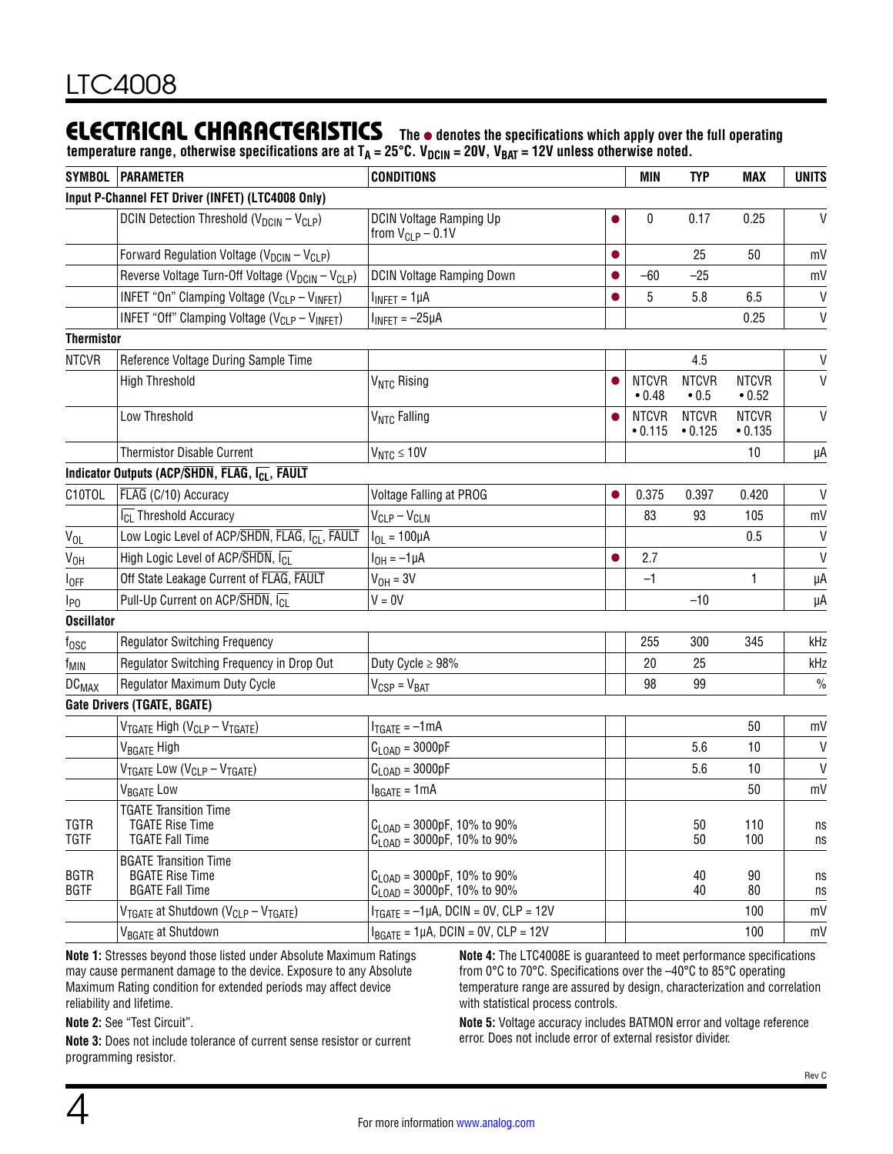### **ELECTRICAL CHARACTERISTICS** The  $\bullet$  denotes the specifications which apply over the full operating

temperature range, otherwise specifications are at T<sub>A</sub> = 25°C. V<sub>DCIN</sub> = 20V, V<sub>BAT</sub> = 12V unless otherwise noted.

|                             | Input P-Channel FET Driver (INFET) (LTC4008 Only)<br>DCIN Detection Threshold (V <sub>DCIN</sub> - V <sub>CLP</sub> ) |                                                                                     |                         |                             |                         |              |
|-----------------------------|-----------------------------------------------------------------------------------------------------------------------|-------------------------------------------------------------------------------------|-------------------------|-----------------------------|-------------------------|--------------|
|                             |                                                                                                                       |                                                                                     |                         |                             |                         |              |
|                             |                                                                                                                       | <b>DCIN Voltage Ramping Up</b><br>from $V_{CLP}$ – 0.1V                             | 0                       | 0.17                        | 0.25                    | $\mathsf{V}$ |
|                             | Forward Regulation Voltage (V <sub>DCIN</sub> - V <sub>CLP</sub> )                                                    |                                                                                     |                         | 25                          | 50                      | mV           |
|                             | Reverse Voltage Turn-Off Voltage (V <sub>DCIN</sub> - V <sub>CLP</sub> )                                              | <b>DCIN Voltage Ramping Down</b>                                                    | $-60$                   | $-25$                       |                         | mV           |
|                             | INFET "On" Clamping Voltage (V <sub>CLP</sub> - V <sub>INFET</sub> )                                                  | $I_{INFET} = 1 \mu A$                                                               | 5                       | 5.8                         | 6.5                     | $\mathsf{V}$ |
|                             | INFET "Off" Clamping Voltage (V <sub>CLP</sub> - V <sub>INFET</sub> )                                                 | $I_{INFET} = -25\mu A$                                                              |                         |                             | 0.25                    | $\mathsf{V}$ |
| <b>Thermistor</b>           |                                                                                                                       |                                                                                     |                         |                             |                         |              |
| <b>NTCVR</b>                | Reference Voltage During Sample Time                                                                                  |                                                                                     |                         | 4.5                         |                         | $\sf V$      |
|                             | <b>High Threshold</b>                                                                                                 | V <sub>NTC</sub> Rising                                                             | <b>NTCVR</b><br>• 0.48  | <b>NTCVR</b><br>$\cdot$ 0.5 | <b>NTCVR</b><br>• 0.52  | $\mathsf{V}$ |
|                             | Low Threshold                                                                                                         | V <sub>NTC</sub> Falling                                                            | <b>NTCVR</b><br>• 0.115 | <b>NTCVR</b><br>• 0.125     | <b>NTCVR</b><br>• 0.135 | $\mathsf{V}$ |
|                             | <b>Thermistor Disable Current</b>                                                                                     | $V_{NTC} \le 10V$                                                                   |                         |                             | 10                      | μA           |
|                             | Indicator Outputs (ACP/SHDN, FLAG, I <sub>CL</sub> , FAULT                                                            |                                                                                     |                         |                             |                         |              |
| C10TOL                      | FLAG (C/10) Accuracy                                                                                                  | Voltage Falling at PROG                                                             | 0.375                   | 0.397                       | 0.420                   | $\mathsf{V}$ |
|                             | $\overline{I_{CL}}$ Threshold Accuracy                                                                                | $V_{CLP} - V_{CLN}$                                                                 | 83                      | 93                          | 105                     | mV           |
| $V_{OL}$                    | Low Logic Level of ACP/SHDN, FLAG, ICL, FAULT                                                                         | $I_{OL} = 100 \mu A$                                                                |                         |                             | 0.5                     | $\mathsf{V}$ |
| V <sub>OH</sub>             | High Logic Level of ACP/ $\overline{\text{SHDN}}$ , $\overline{\text{ICl}}$                                           | $I_{OH} = -1 \mu A$                                                                 | 2.7                     |                             |                         | $\mathsf{V}$ |
| $I_{OFF}$                   | Off State Leakage Current of FLAG, FAULT                                                                              | $V_{OH} = 3V$                                                                       | $-1$                    |                             | 1                       | μA           |
| $I_{PQ}$                    | Pull-Up Current on ACP/SHDN, ICI                                                                                      | $V = 0V$                                                                            |                         | $-10$                       |                         | μA           |
| <b>Oscillator</b>           |                                                                                                                       |                                                                                     |                         |                             |                         |              |
| $t_{\rm 0SC}$               | <b>Regulator Switching Frequency</b>                                                                                  |                                                                                     | 255                     | 300                         | 345                     | kHz          |
| f <sub>MIN</sub>            | Regulator Switching Frequency in Drop Out                                                                             | Duty Cycle $\geq 98\%$                                                              | 20                      | 25                          |                         | kHz          |
| $DC_{MAX}$                  | Regulator Maximum Duty Cycle                                                                                          | $V_{CSP} = V_{BAT}$                                                                 | 98                      | 99                          |                         | $\%$         |
| Gate Drivers (TGATE, BGATE) |                                                                                                                       |                                                                                     |                         |                             |                         |              |
|                             | V <sub>TGATE</sub> High (V <sub>CLP</sub> - V <sub>TGATE</sub> )                                                      | $I_{TGATE} = -1mA$                                                                  |                         |                             | 50                      | mV           |
|                             | V <sub>BGATE</sub> High                                                                                               | $C_{\text{LOAD}} = 3000pF$                                                          |                         | 5.6                         | 10                      | V            |
|                             | V <sub>TGATE</sub> Low (V <sub>CLP</sub> - V <sub>TGATE</sub> )                                                       | $C_{\text{LOAD}} = 3000pF$                                                          |                         | 5.6                         | 10                      | $\mathsf{V}$ |
|                             | V <sub>BGATE</sub> Low                                                                                                | $I_{BGATE} = 1mA$                                                                   |                         |                             | 50                      | mV           |
| <b>TGTR</b><br><b>TGTF</b>  | <b>TGATE Transition Time</b><br><b>TGATE Rise Time</b><br><b>TGATE Fall Time</b>                                      | $C_{\text{LOAD}} = 3000pF, 10\%$ to 90%<br>$C_{\text{LOAD}} = 3000pF, 10\%$ to 90%  |                         | 50<br>50                    | 110<br>100              | ns<br>ns     |
| <b>BGTR</b><br><b>BGTF</b>  | <b>BGATE Transition Time</b><br><b>BGATE Rise Time</b><br><b>BGATE Fall Time</b>                                      | $C_{1 \text{ OAD}}$ = 3000pF, 10% to 90%<br>$C_{\text{LOAD}} = 3000pF, 10\%$ to 90% |                         | 40<br>40                    | 90<br>80                | ns<br>ns     |
|                             | V <sub>TGATE</sub> at Shutdown (V <sub>CLP</sub> – V <sub>TGATE</sub> )                                               | $I_{TGATE} = -1 \mu A$ , DCIN = 0V, CLP = 12V                                       |                         |                             | 100                     | mV           |
|                             | V <sub>BGATE</sub> at Shutdown                                                                                        | $I_{BGATE} = 1 \mu A$ , DCIN = 0V, CLP = 12V                                        |                         |                             | 100                     | mV           |

**Note 1:** Stresses beyond those listed under Absolute Maximum Ratings may cause permanent damage to the device. Exposure to any Absolute Maximum Rating condition for extended periods may affect device reliability and lifetime.

**Note 4:** The LTC4008E is guaranteed to meet performance specifications from 0°C to 70°C. Specifications over the –40°C to 85°C operating temperature range are assured by design, characterization and correlation with statistical process controls.

**Note 2:** See ["Test Circuit".](#page-8-0)

**Note 3:** Does not include tolerance of current sense resistor or current programming resistor.

**Note 5:** Voltage accuracy includes BATMON error and voltage reference error. Does not include error of external resistor divider.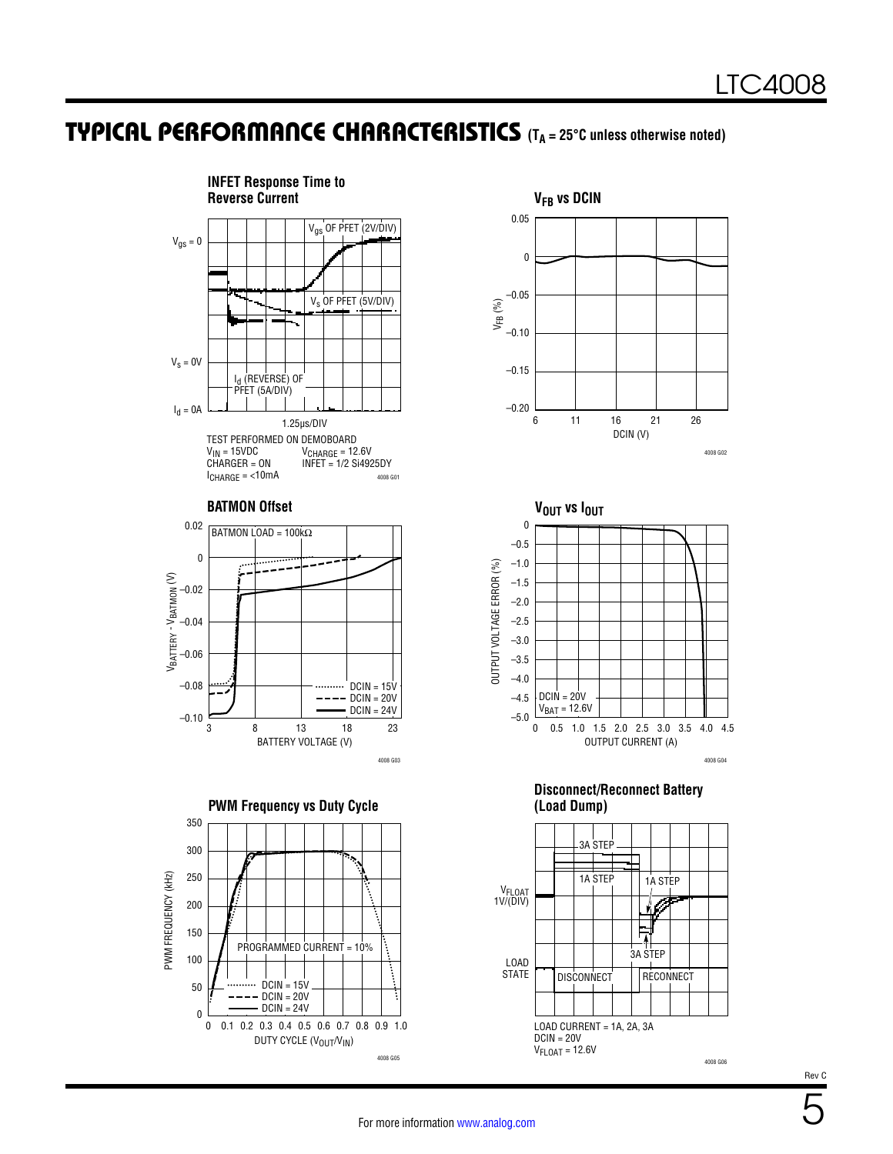### **TYPICAL PERFORMANCE CHARACTERISTICS** (T<sub>A</sub> = 25°C unless otherwise noted)







**Disconnect/Reconnect Battery (Load Dump)**

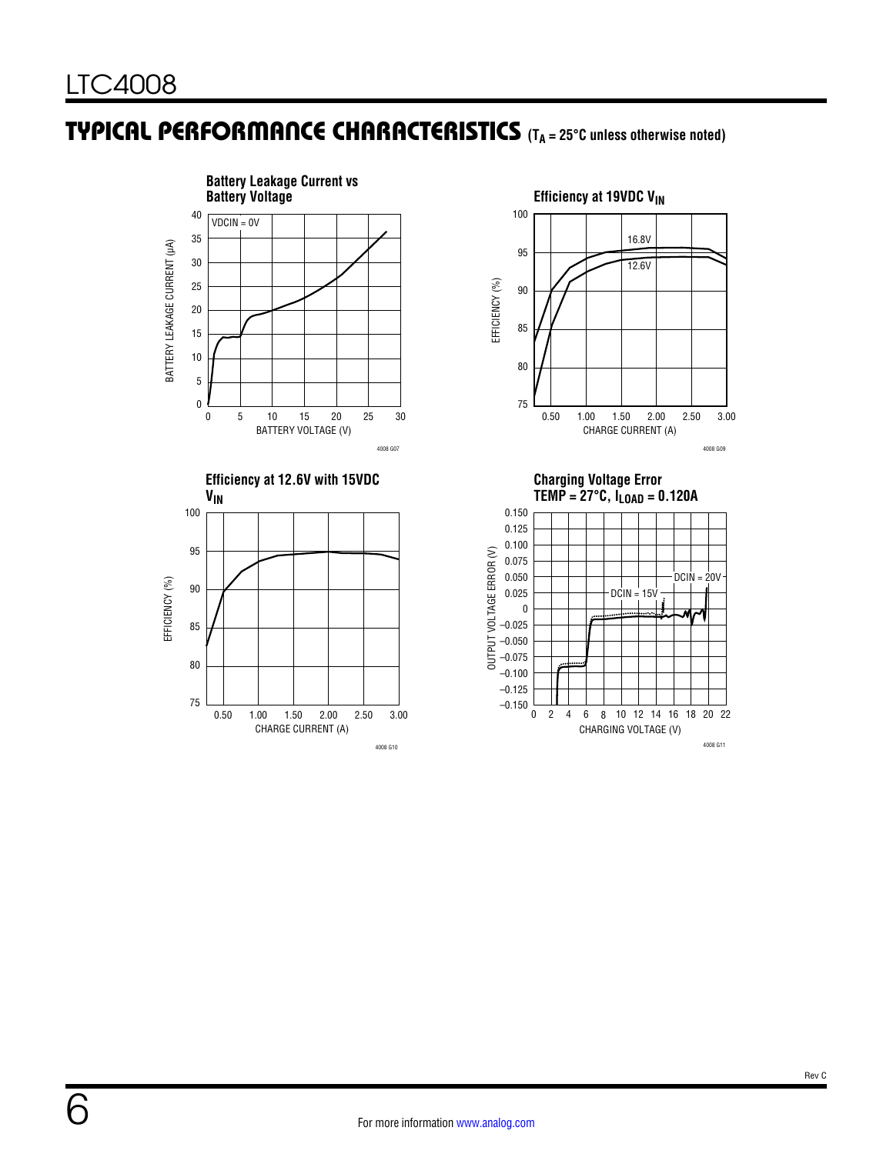## **TYPICAL PERFORMANCE CHARACTERISTICS** (T<sub>A</sub> = 25°C unless otherwise noted)







**Charging Voltage Error** 

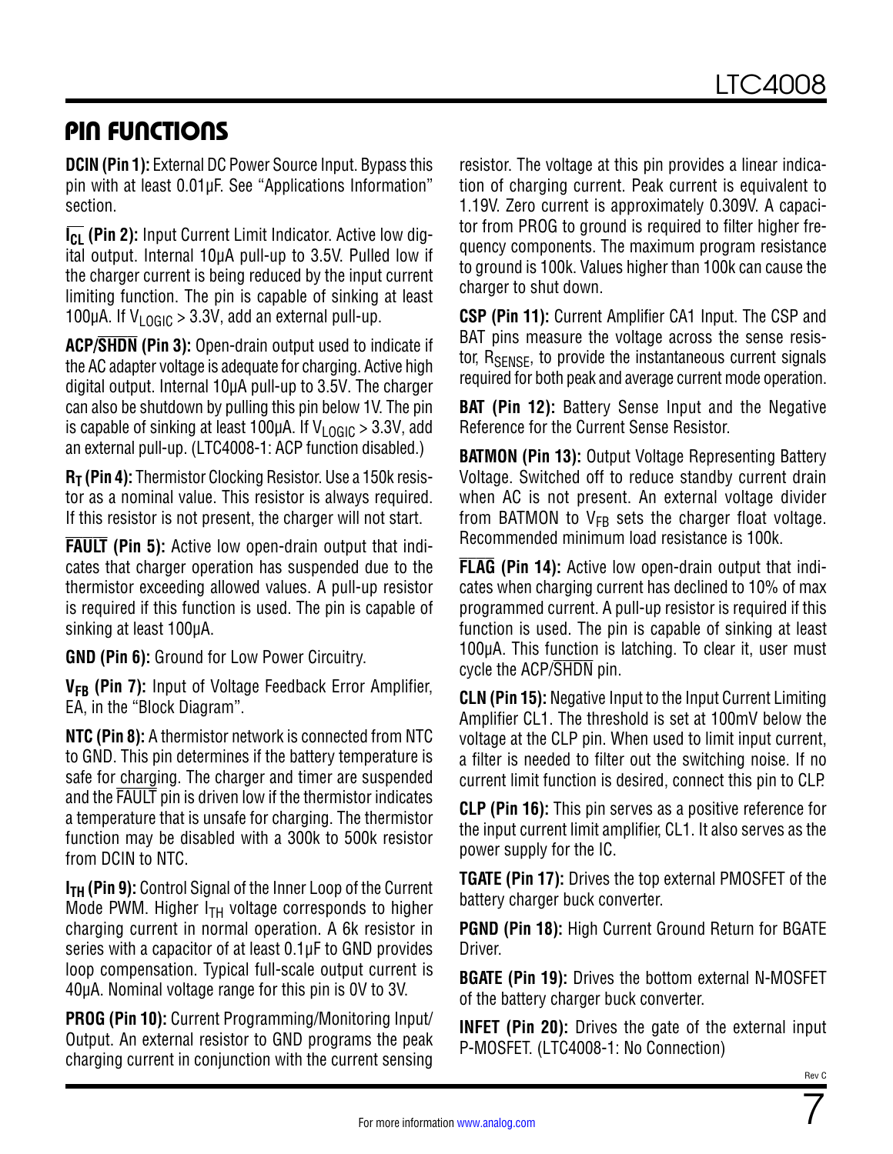## PIN FUNCTIONS

**DCIN (Pin 1):** External DC Power Source Input. Bypass this pin with at least 0.01µF. See ["Applications Information"](#page-12-0) section.

**I<sub>CL</sub>** (Pin 2): Input Current Limit Indicator. Active low digital output. Internal 10µA pull-up to 3.5V. Pulled low if the charger current is being reduced by the input current limiting function. The pin is capable of sinking at least 100µA. If  $V_{LOGIC} > 3.3V$ , add an external pull-up.

**ACP/SHDN (Pin 3):** Open-drain output used to indicate if the AC adapter voltage is adequate for charging. Active high digital output. Internal 10µA pull-up to 3.5V. The charger can also be shutdown by pulling this pin below 1V. The pin is capable of sinking at least 100 $\mu$ A. If V<sub>LOGIC</sub> > 3.3V, add an external pull-up. (LTC4008-1: ACP function disabled.)

**R<sub>T</sub>** (Pin 4): Thermistor Clocking Resistor. Use a 150k resistor as a nominal value. This resistor is always required. If this resistor is not present, the charger will not start.

**FAULT (Pin 5):** Active low open-drain output that indicates that charger operation has suspended due to the thermistor exceeding allowed values. A pull-up resistor is required if this function is used. The pin is capable of sinking at least 100µA.

**GND (Pin 6):** Ground for Low Power Circuitry.

V<sub>FB</sub> (Pin 7): Input of Voltage Feedback Error Amplifier, EA, in the ["Block Diagram".](#page-7-0)

**NTC (Pin 8):** A thermistor network is connected from NTC to GND. This pin determines if the battery temperature is safe for charging. The charger and timer are suspended and the FAULT pin is driven low if the thermistor indicates a temperature that is unsafe for charging. The thermistor function may be disabled with a 300k to 500k resistor from DCIN to NTC.

**I<sub>TH</sub>** (Pin 9): Control Signal of the Inner Loop of the Current Mode PWM. Higher  $I<sub>TH</sub>$  voltage corresponds to higher charging current in normal operation. A 6k resistor in series with a capacitor of at least 0.1µF to GND provides loop compensation. Typical full-scale output current is 40µA. Nominal voltage range for this pin is 0V to 3V.

**PROG (Pin 10):** Current Programming/Monitoring Input/ Output. An external resistor to GND programs the peak charging current in conjunction with the current sensing

resistor. The voltage at this pin provides a linear indication of charging current. Peak current is equivalent to 1.19V. Zero current is approximately 0.309V. A capacitor from PROG to ground is required to filter higher frequency components. The maximum program resistance to ground is 100k. Values higher than 100k can cause the charger to shut down.

**CSP (Pin 11):** Current Amplifier CA1 Input. The CSP and BAT pins measure the voltage across the sense resistor, R<sub>SENSE</sub>, to provide the instantaneous current signals required for both peak and average current mode operation.

**BAT (Pin 12):** Battery Sense Input and the Negative Reference for the Current Sense Resistor.

**BATMON (Pin 13):** Output Voltage Representing Battery Voltage. Switched off to reduce standby current drain when AC is not present. An external voltage divider from BATMON to  $V_{FB}$  sets the charger float voltage. Recommended minimum load resistance is 100k.

**FLAG (Pin 14):** Active low open-drain output that indicates when charging current has declined to 10% of max programmed current. A pull-up resistor is required if this function is used. The pin is capable of sinking at least 100µA. This function is latching. To clear it, user must cycle the ACP/SHDN pin.

**CLN (Pin 15):** Negative Input to the Input Current Limiting Amplifier CL1. The threshold is set at 100mV below the voltage at the CLP pin. When used to limit input current, a filter is needed to filter out the switching noise. If no current limit function is desired, connect this pin to CLP.

**CLP (Pin 16):** This pin serves as a positive reference for the input current limit amplifier, CL1. It also serves as the power supply for the IC.

**TGATE (Pin 17):** Drives the top external PMOSFET of the battery charger buck converter.

**PGND (Pin 18):** High Current Ground Return for BGATE Driver.

**BGATE (Pin 19):** Drives the bottom external N-MOSFET of the battery charger buck converter.

**INFET (Pin 20):** Drives the gate of the external input P-MOSFET. (LTC4008-1: No Connection)

7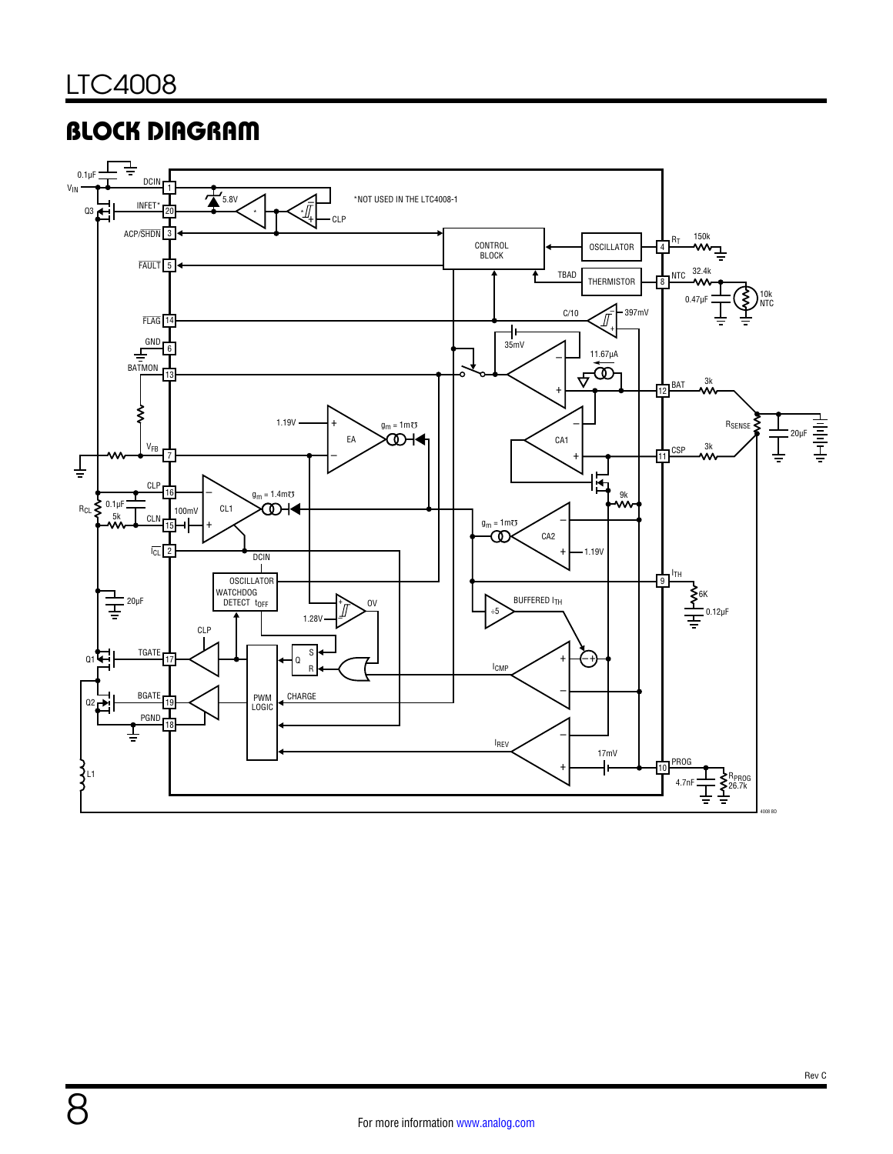8

# <span id="page-7-0"></span>BLOCK DIAGRAM

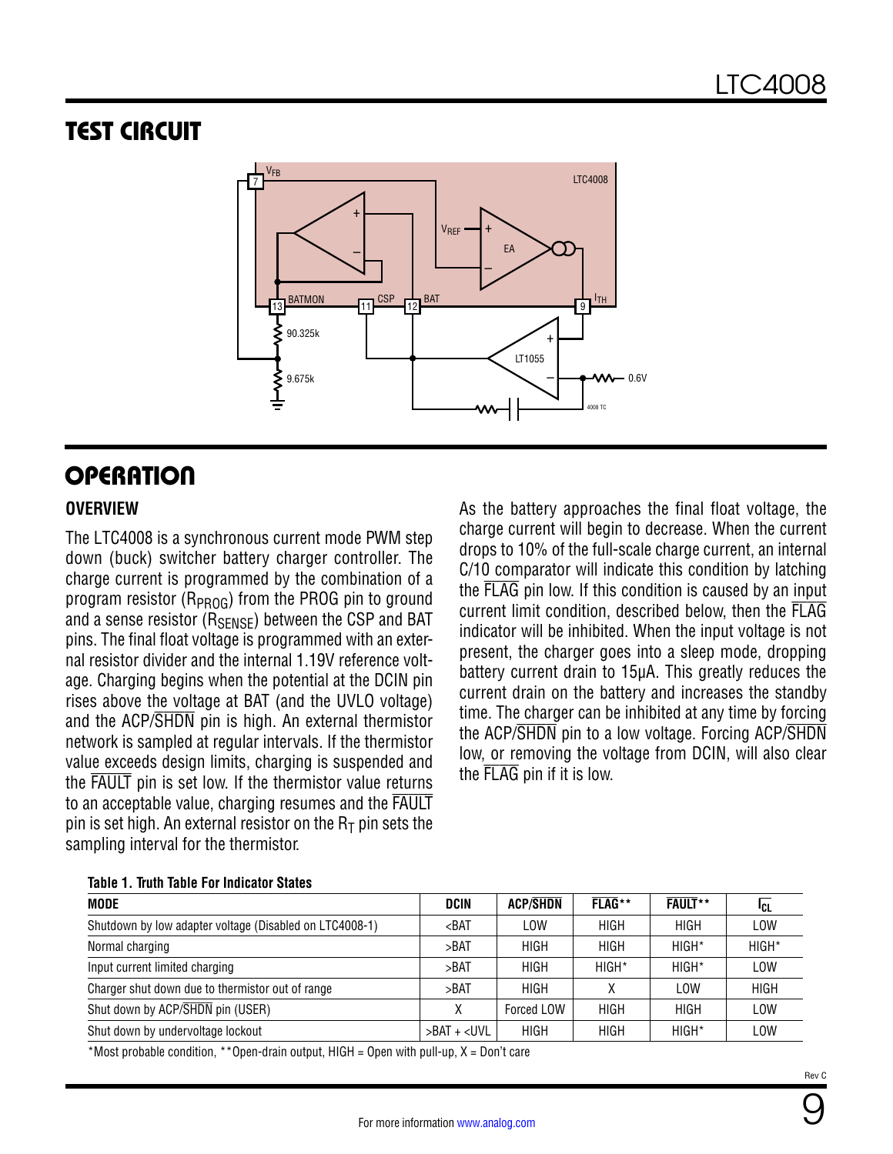## <span id="page-8-0"></span>TEST CIRCUIT



## **OPERATION**

#### **OVERVIEW**

The LTC4008 is a synchronous current mode PWM step down (buck) switcher battery charger controller. The charge current is programmed by the combination of a program resistor ( $R_{PROG}$ ) from the PROG pin to ground and a sense resistor ( $R_{\text{SFNSF}}$ ) between the CSP and BAT pins. The final float voltage is programmed with an external resistor divider and the internal 1.19V reference voltage. Charging begins when the potential at the DCIN pin rises above the voltage at BAT (and the UVLO voltage) and the ACP/SHDN pin is high. An external thermistor network is sampled at regular intervals. If the thermistor value exceeds design limits, charging is suspended and the FAULT pin is set low. If the thermistor value returns to an acceptable value, charging resumes and the FAULT pin is set high. An external resistor on the  $R<sub>T</sub>$  pin sets the sampling interval for the thermistor.

As the battery approaches the final float voltage, the charge current will begin to decrease. When the current drops to 10% of the full-scale charge current, an internal C/10 comparator will indicate this condition by latching the FLAG pin low. If this condition is caused by an input current limit condition, described below, then the FLAG indicator will be inhibited. When the input voltage is not present, the charger goes into a sleep mode, dropping battery current drain to 15µA. This greatly reduces the current drain on the battery and increases the standby time. The charger can be inhibited at any time by forcing the ACP/SHDN pin to a low voltage. Forcing ACP/SHDN low, or removing the voltage from DCIN, will also clear the FLAG pin if it is low.

| <b>MODE</b>                                             | <b>DCIN</b>                                                                                  | <b>ACP/SHDN</b> | FLAG**            | <b>FAULT</b> ** | ICL         |
|---------------------------------------------------------|----------------------------------------------------------------------------------------------|-----------------|-------------------|-----------------|-------------|
| Shutdown by low adapter voltage (Disabled on LTC4008-1) | $ABAT$                                                                                       | <b>LOW</b>      | <b>HIGH</b>       | <b>HIGH</b>     | LOW         |
| Normal charging                                         | >BAT                                                                                         | <b>HIGH</b>     | <b>HIGH</b>       | HIGH*           | $HIGH*$     |
| Input current limited charging                          | >BAT                                                                                         | <b>HIGH</b>     | HIGH <sup>*</sup> | HIGH*           | <b>LOW</b>  |
| Charger shut down due to thermistor out of range        | >BAT                                                                                         | <b>HIGH</b>     |                   | <b>LOW</b>      | <b>HIGH</b> |
| Shut down by ACP/SHDN pin (USER)                        |                                                                                              | Forced LOW      | <b>HIGH</b>       | <b>HIGH</b>     | <b>LOW</b>  |
| Shut down by undervoltage lockout                       | >BAT + <uvl< td=""><td><b>HIGH</b></td><td><b>HIGH</b></td><td>HIGH*</td><td>LOW</td></uvl<> | <b>HIGH</b>     | <b>HIGH</b>       | HIGH*           | LOW         |

#### **Table 1. Truth Table For Indicator States**

\*Most probable condition, \*\*Open-drain output, HIGH = Open with pull-up, X = Don't care

9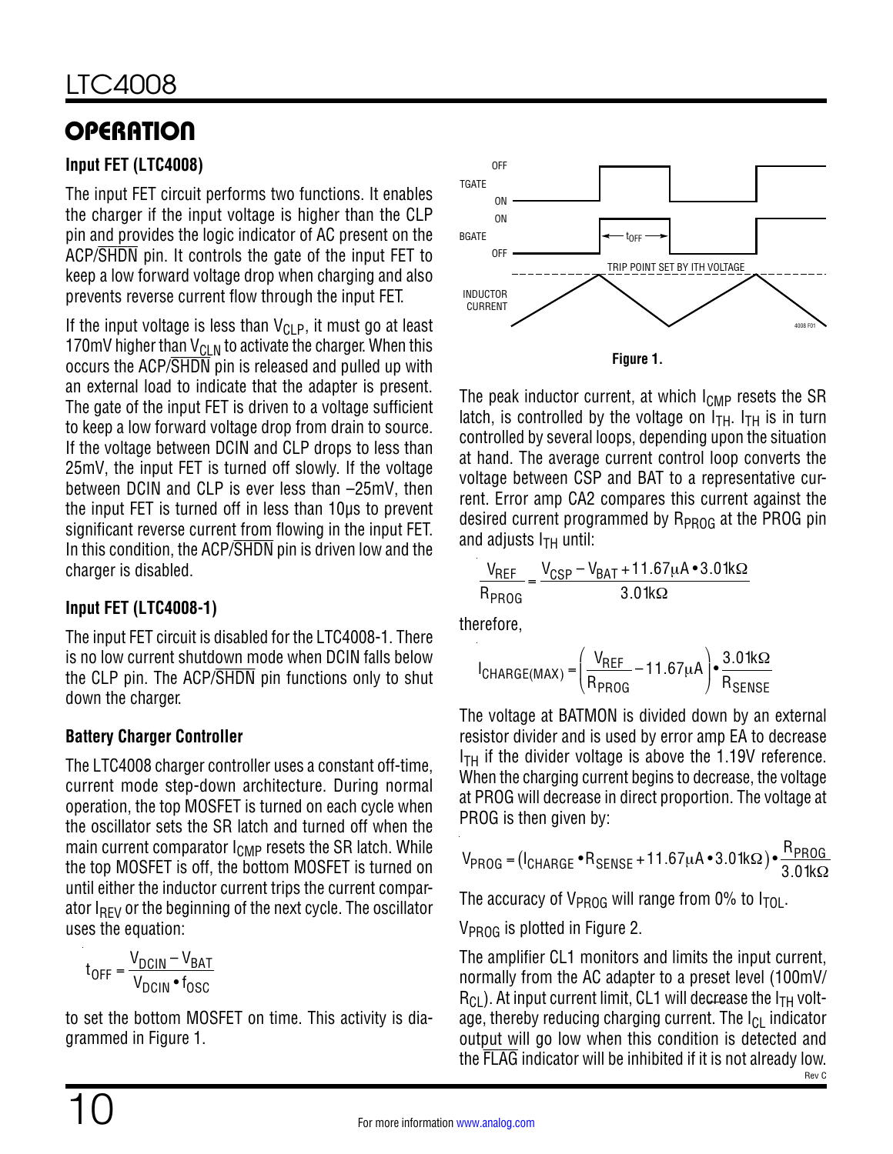# **OPERATION**

### **Input FET (LTC4008)**

The input FET circuit performs two functions. It enables the charger if the input voltage is higher than the CLP pin and provides the logic indicator of AC present on the ACP/SHDN pin. It controls the gate of the input FET to keep a low forward voltage drop when charging and also prevents reverse current flow through the input FET.

If the input voltage is less than  $V_{CLP}$ , it must go at least 170mV higher than  $V_{\text{Cl-N}}$  to activate the charger. When this occurs the ACP/SHDN pin is released and pulled up with an external load to indicate that the adapter is present. The gate of the input FET is driven to a voltage sufficient to keep a low forward voltage drop from drain to source. If the voltage between DCIN and CLP drops to less than 25mV, the input FET is turned off slowly. If the voltage between DCIN and CLP is ever less than –25mV, then the input FET is turned off in less than 10µs to prevent significant reverse current from flowing in the input FET. In this condition, the ACP/SHDN pin is driven low and the charger is disabled.

### **Input FET (LTC4008-1)**

The input FET circuit is disabled for the LTC4008-1. There is no low current shutdown mode when DCIN falls below the CLP pin. The ACP/SHDN pin functions only to shut down the charger.

### **Battery Charger Controller**

The LTC4008 charger controller uses a constant off-time, current mode step-down architecture. During normal operation, the top MOSFET is turned on each cycle when the oscillator sets the SR latch and turned off when the main current comparator  $I_{\text{CMP}}$  resets the SR latch. While the top MOSFET is off, the bottom MOSFET is turned on until either the inductor current trips the current comparator  $I_{RFV}$  or the beginning of the next cycle. The oscillator uses the equation:

$$
t_{OFF} = \frac{V_{DCIN} - V_{BAT}}{V_{DCIN} \cdot f_{OSC}}
$$

to set the bottom MOSFET on time. This activity is diagrammed in [Figure 1](#page-9-0).



<span id="page-9-0"></span>The peak inductor current, at which  $I_{\text{CMP}}$  resets the SR latch, is controlled by the voltage on  $I_{TH}$ .  $I_{TH}$  is in turn controlled by several loops, depending upon the situation at hand. The average current control loop converts the voltage between CSP and BAT to a representative current. Error amp CA2 compares this current against the desired current programmed by  $R_{PROG}$  at the PROG pin and adjusts  $I<sub>TH</sub>$  until:

$$
\frac{V_{REF}}{R_{PROG}} = \frac{V_{CSP} - V_{BAT} + 11.67\mu A \cdot 3.01k\Omega}{3.01k\Omega}
$$

therefore,

$$
I_{\text{CHARGE}(\text{MAX})} = \left(\frac{V_{\text{REF}}}{R_{\text{PROG}}}-11.67\mu\text{A}\right) \cdot \frac{3.01\text{k}\Omega}{R_{\text{SENSE}}}
$$

The voltage at BATMON is divided down by an external resistor divider and is used by error amp EA to decrease  $I<sub>TH</sub>$  if the divider voltage is above the 1.19V reference. When the charging current begins to decrease, the voltage at PROG will decrease in direct proportion. The voltage at PROG is then given by:

$$
V_{PROG} = (I_{CHARGE} \cdot R_{SENSE} + 11.67 \mu A \cdot 3.01 \text{k}\Omega) \cdot \frac{R_{PROG}}{3.01 \text{k}\Omega}
$$

The accuracy of  $V_{PROG}$  will range from 0% to  $I_{TOL}$ .

V<sub>PROG</sub> is plotted in [Figure 2.](#page-10-0)

Rev C The amplifier CL1 monitors and limits the input current, normally from the AC adapter to a preset level (100mV/  $R_{CL}$ ). At input current limit, CL1 will decrease the  $I<sub>TH</sub>$  voltage, thereby reducing charging current. The  $I_{Cl}$  indicator output will go low when this condition is detected and the FLAG indicator will be inhibited if it is not already low.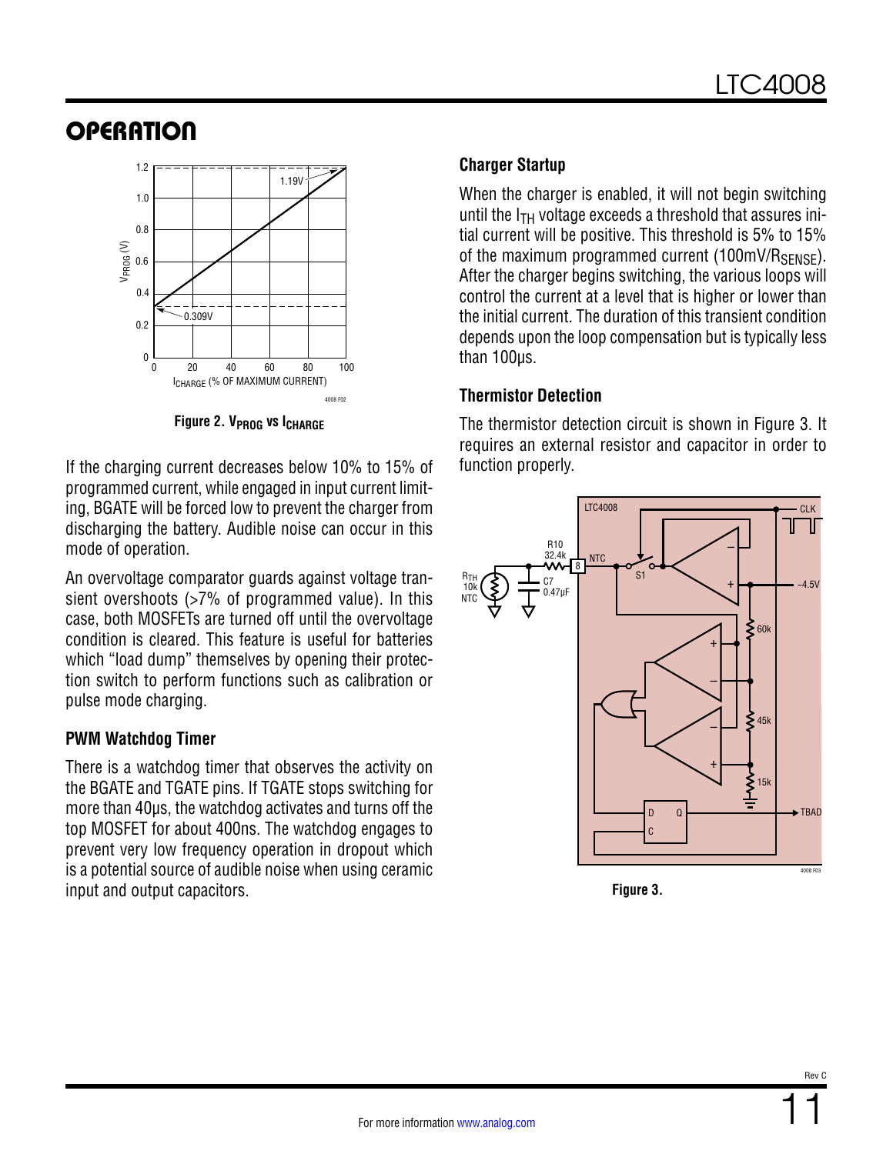## **OPERATION**



**Figure 2. V<sub>PROG</sub> vs I<sub>CHARGE</sub>** 

If the charging current decreases below 10% to 15% of programmed current, while engaged in input current limiting, BGATE will be forced low to prevent the charger from discharging the battery. Audible noise can occur in this mode of operation.

An overvoltage comparator guards against voltage transient overshoots (>7% of programmed value). In this case, both MOSFETs are turned off until the overvoltage condition is cleared. This feature is useful for batteries which "load dump" themselves by opening their protection switch to perform functions such as calibration or pulse mode charging.

#### **PWM Watchdog Timer**

There is a watchdog timer that observes the activity on the BGATE and TGATE pins. If TGATE stops switching for more than 40µs, the watchdog activates and turns off the top MOSFET for about 400ns. The watchdog engages to prevent very low frequency operation in dropout which is a potential source of audible noise when using ceramic input and output capacitors.

### **Charger Startup**

When the charger is enabled, it will not begin switching until the  $I_{TH}$  voltage exceeds a threshold that assures initial current will be positive. This threshold is 5% to 15% of the maximum programmed current  $(100 \text{mV/R}_{\text{SENSE}})$ . After the charger begins switching, the various loops will control the current at a level that is higher or lower than the initial current. The duration of this transient condition depends upon the loop compensation but is typically less than 100us.

### **Thermistor Detection**

<span id="page-10-0"></span>The thermistor detection circuit is shown in [Figure 3](#page-10-1). It requires an external resistor and capacitor in order to function properly.



<span id="page-10-1"></span>**Figure 3.**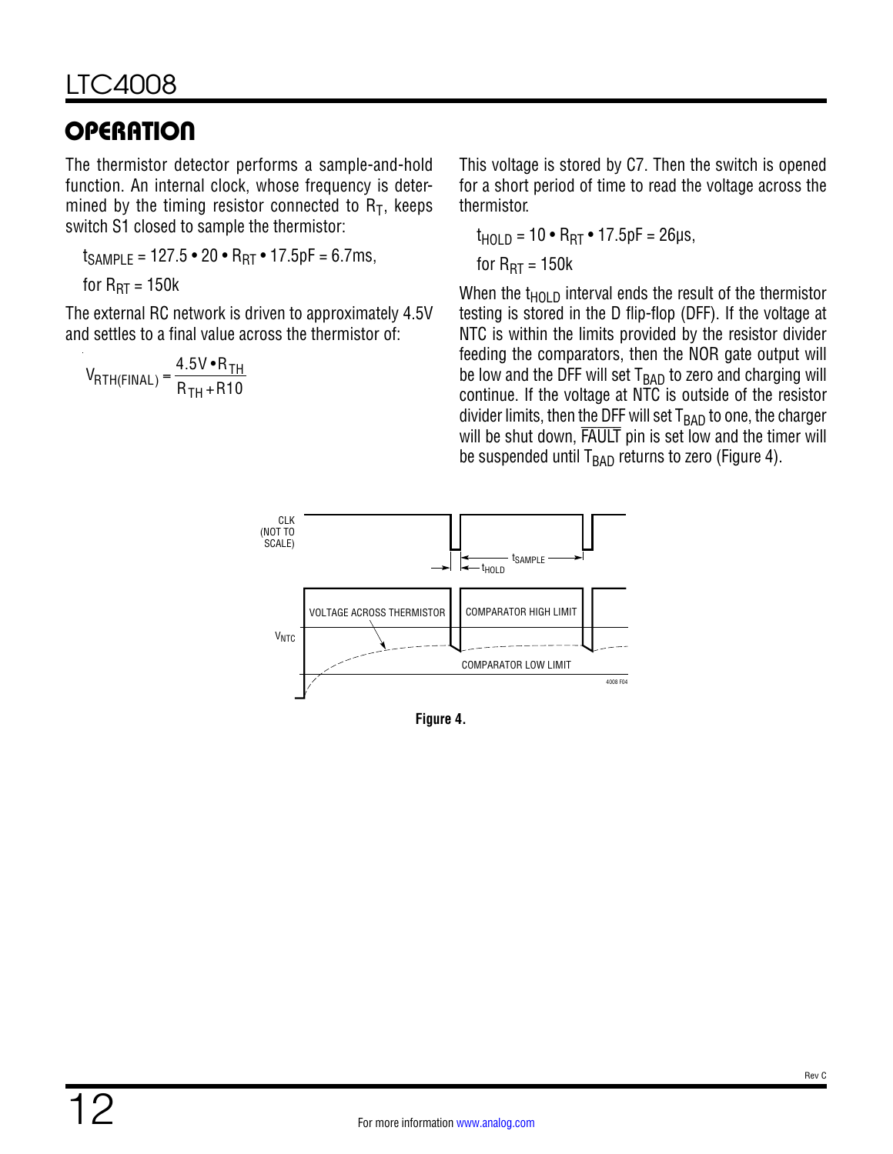# **OPERATION**

The thermistor detector performs a sample-and-hold function. An internal clock, whose frequency is determined by the timing resistor connected to  $R_T$ , keeps switch S1 closed to sample the thermistor:

 $t_{SAMPLE} = 127.5 \cdot 20 \cdot R_{RT} \cdot 17.5pF = 6.7ms$ 

for 
$$
R_{RT} = 150k
$$

The external RC network is driven to approximately 4.5V and settles to a final value across the thermistor of:

$$
V_{\text{RTH(FINAL)}} = \frac{4.5 \text{V} \cdot \text{R}_{\text{TH}}}{\text{R}_{\text{TH}} + \text{R10}}
$$

This voltage is stored by C7. Then the switch is opened for a short period of time to read the voltage across the thermistor.

$$
t_{\text{HOLD}} = 10 \cdot R_{\text{RT}} \cdot 17.5 \text{pF} = 26 \text{µs},
$$

for 
$$
R_{RT} = 150k
$$

When the  $t_{HOLD}$  interval ends the result of the thermistor testing is stored in the D flip-flop (DFF). If the voltage at NTC is within the limits provided by the resistor divider feeding the comparators, then the NOR gate output will be low and the DFF will set  $T<sub>BAD</sub>$  to zero and charging will continue. If the voltage at NTC is outside of the resistor divider limits, then the DFF will set  $T<sub>BAD</sub>$  to one, the charger will be shut down, FAULT pin is set low and the timer will be suspended until  $T<sub>BAD</sub>$  returns to zero ([Figure 4](#page-11-0)).



<span id="page-11-0"></span>**Figure 4.**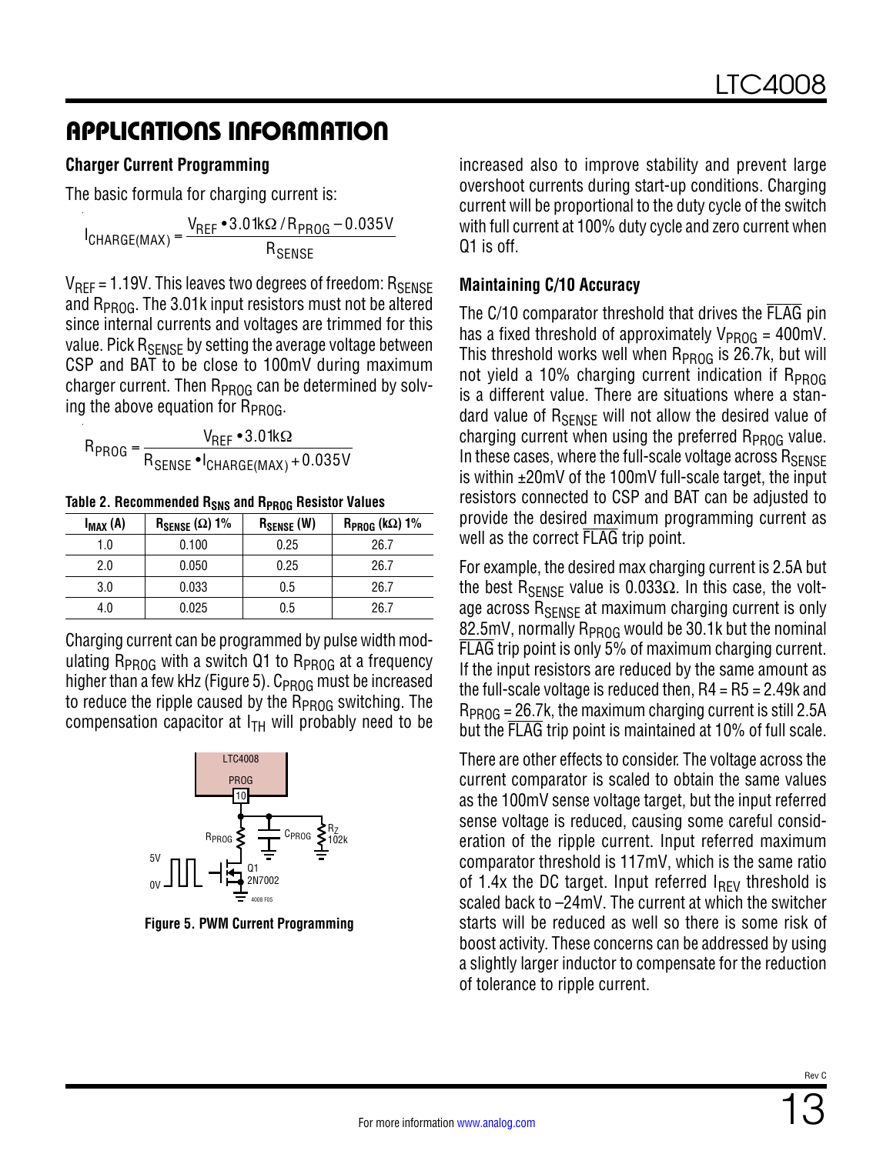#### <span id="page-12-0"></span>**Charger Current Programming**

The basic formula for charging current is:

 $I_{\text{CHARGE(MAX)}} = \frac{V_{\text{REF}} \cdot 3.01 \text{k}\Omega / R_{\text{PROG}} - 0.035 V_{\text{GHAGE(MAX)}}}{P}$  ${\sf R}_{\sf SENSE}$ 

 $V_{REF} = 1.19V$ . This leaves two degrees of freedom:  $R_{SENSE}$ and  $R_{PROG}$ . The 3.01k input resistors must not be altered since internal currents and voltages are trimmed for this value. Pick R<sub>SENSE</sub> by setting the average voltage between CSP and BAT to be close to 100mV during maximum charger current. Then  $R_{PROG}$  can be determined by solving the above equation for  $R_{PROG}$ .

$$
R_{PROG} = \frac{V_{REF} \cdot 3.01 k\Omega}{R_{SENSE} \cdot I_{CHARGE(MAX)} + 0.035 V}
$$

Table 2. Recommended R<sub>SNS</sub> and R<sub>PROG</sub> Resistor Values

| I <sub>MAX</sub> (A) | $R_{\text{SENSE}}(\Omega)$ 1% | $R_{\text{SENSE}}$ (W) | $R_{PROG}$ (k $\Omega$ ) 1% |
|----------------------|-------------------------------|------------------------|-----------------------------|
| 1.0                  | 0.100                         | 0.25                   | 26.7                        |
| 2.0                  | 0.050                         | 0.25                   | 26.7                        |
| 3.0                  | 0.033                         | 0.5                    | 26.7                        |
| 4.0                  | 0.025                         | 0.5                    | 26.7                        |

Charging current can be programmed by pulse width modulating  $R_{PROG}$  with a switch Q1 to  $R_{PROG}$  at a frequency higher than a few kHz ([Figure 5\)](#page-12-1).  $C_{PROG}$  must be increased to reduce the ripple caused by the  $R_{PROG}$  switching. The compensation capacitor at  $I<sub>TH</sub>$  will probably need to be



<span id="page-12-1"></span>**Figure 5. PWM Current Programming**

increased also to improve stability and prevent large overshoot currents during start-up conditions. Charging current will be proportional to the duty cycle of the switch with full current at 100% duty cycle and zero current when Q1 is off.

#### **Maintaining C/10 Accuracy**

The C/10 comparator threshold that drives the FLAG pin has a fixed threshold of approximately  $V_{PROG} = 400$ mV. This threshold works well when  $R_{PROG}$  is 26.7k, but will not yield a 10% charging current indication if  $R_{\text{PROG}}$ is a different value. There are situations where a standard value of  $R_{\text{SFNSF}}$  will not allow the desired value of charging current when using the preferred  $R_{PROG}$  value. In these cases, where the full-scale voltage across RSENSE is within ±20mV of the 100mV full-scale target, the input resistors connected to CSP and BAT can be adjusted to provide the desired maximum programming current as well as the correct FLAG trip point.

For example, the desired max charging current is 2.5A but the best R<sub>SENSE</sub> value is 0.033Ω. In this case, the voltage across  $R_{\text{SENSF}}$  at maximum charging current is only 82.5mV, normally  $R_{\text{PROG}}$  would be 30.1k but the nominal FLAG trip point is only 5% of maximum charging current. If the input resistors are reduced by the same amount as the full-scale voltage is reduced then,  $R4 = R5 = 2.49k$  and  $R_{PROG} = 26.7k$ , the maximum charging current is still 2.5A but the FLAG trip point is maintained at 10% of full scale.

There are other effects to consider. The voltage across the current comparator is scaled to obtain the same values as the 100mV sense voltage target, but the input referred sense voltage is reduced, causing some careful consideration of the ripple current. Input referred maximum comparator threshold is 117mV, which is the same ratio of 1.4x the DC target. Input referred  $I_{RFV}$  threshold is scaled back to –24mV. The current at which the switcher starts will be reduced as well so there is some risk of boost activity. These concerns can be addressed by using a slightly larger inductor to compensate for the reduction of tolerance to ripple current.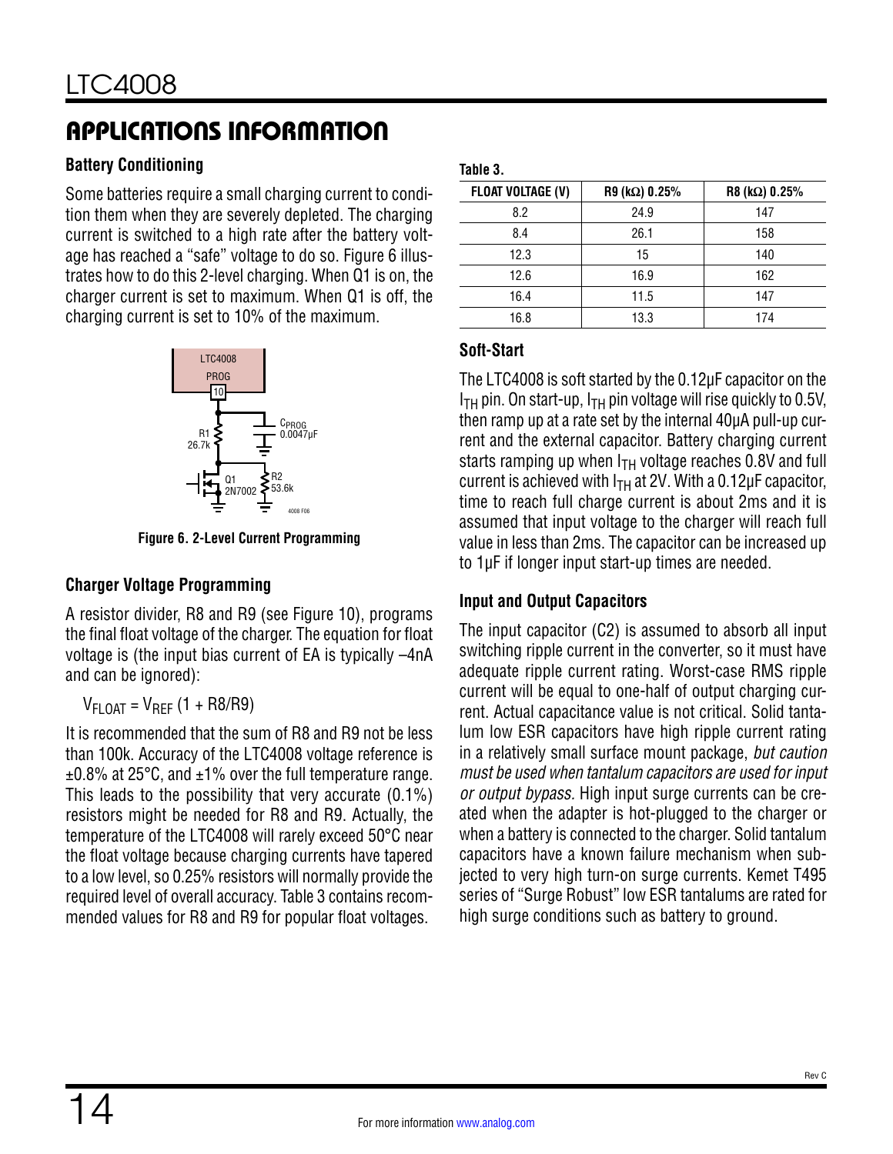### **Battery Conditioning**

Some batteries require a small charging current to condition them when they are severely depleted. The charging current is switched to a high rate after the battery voltage has reached a "safe" voltage to do so. [Figure 6](#page-13-0) illustrates how to do this 2-level charging. When Q1 is on, the charger current is set to maximum. When Q1 is off, the charging current is set to 10% of the maximum.



**Figure 6. 2-Level Current Programming**

### **Charger Voltage Programming**

A resistor divider, R8 and R9 (see [Figure 10](#page-19-0)), programs the final float voltage of the charger. The equation for float voltage is (the input bias current of EA is typically –4nA and can be ignored):

### $V_{FLOAT} = V_{RFF} (1 + R8/R9)$

It is recommended that the sum of R8 and R9 not be less than 100k. Accuracy of the LTC4008 voltage reference is ±0.8% at 25°C, and ±1% over the full temperature range. This leads to the possibility that very accurate (0.1%) resistors might be needed for R8 and R9. Actually, the temperature of the LTC4008 will rarely exceed 50°C near the float voltage because charging currents have tapered to a low level, so 0.25% resistors will normally provide the required level of overall accuracy. [Table 3](#page-13-1) contains recommended values for R8 and R9 for popular float voltages.

#### <span id="page-13-1"></span>**Table 3.**

| <b>FLOAT VOLTAGE (V)</b> | $R9$ (k $\Omega$ ) 0.25% | $R8$ (k $\Omega$ ) 0.25% |
|--------------------------|--------------------------|--------------------------|
| 8.2                      | 24.9                     | 147                      |
| 8.4                      | 26.1                     | 158                      |
| 12.3                     | 15                       | 140                      |
| 12.6                     | 16.9                     | 162                      |
| 16.4                     | 11.5                     | 147                      |
| 16.8                     | 13.3                     | 174                      |

### **Soft-Start**

The LTC4008 is soft started by the 0.12µF capacitor on the  $I<sub>TH</sub>$  pin. On start-up,  $I<sub>TH</sub>$  pin voltage will rise quickly to 0.5V, then ramp up at a rate set by the internal 40µA pull-up current and the external capacitor. Battery charging current starts ramping up when  $I<sub>TH</sub>$  voltage reaches 0.8V and full current is achieved with  $I<sub>TH</sub>$  at 2V. With a 0.12 $\mu$ F capacitor, time to reach full charge current is about 2ms and it is assumed that input voltage to the charger will reach full value in less than 2ms. The capacitor can be increased up to 1µF if longer input start-up times are needed.

### <span id="page-13-0"></span>**Input and Output Capacitors**

The input capacitor (C2) is assumed to absorb all input switching ripple current in the converter, so it must have adequate ripple current rating. Worst-case RMS ripple current will be equal to one-half of output charging current. Actual capacitance value is not critical. Solid tantalum low ESR capacitors have high ripple current rating in a relatively small surface mount package, *but caution must be used when tantalum capacitors are used for input or output bypass.* High input surge currents can be created when the adapter is hot-plugged to the charger or when a battery is connected to the charger. Solid tantalum capacitors have a known failure mechanism when subjected to very high turn-on surge currents. Kemet T495 series of "Surge Robust" low ESR tantalums are rated for high surge conditions such as battery to ground.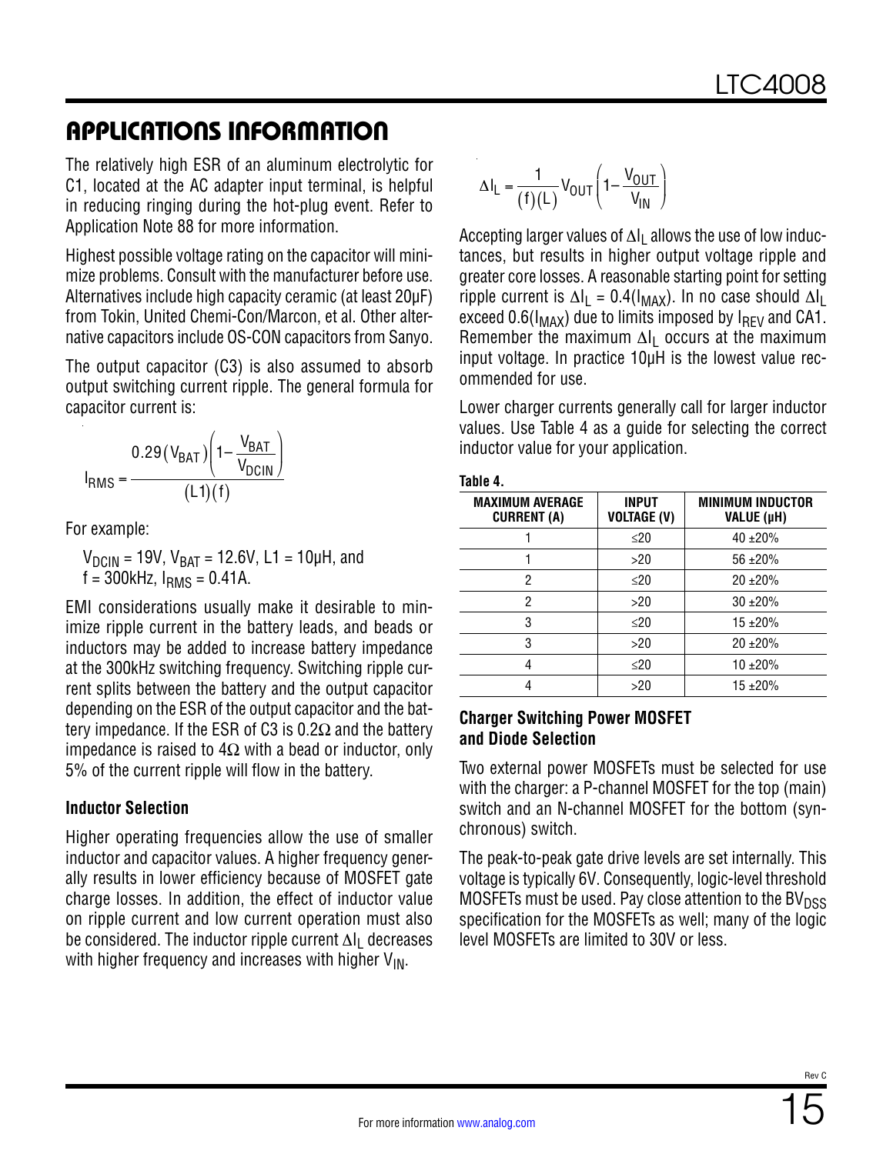The relatively high ESR of an aluminum electrolytic for C1, located at the AC adapter input terminal, is helpful in reducing ringing during the hot-plug event. Refer to Application Note 88 for more information.

Highest possible voltage rating on the capacitor will minimize problems. Consult with the manufacturer before use. Alternatives include high capacity ceramic (at least 20µF) from Tokin, United Chemi-Con/Marcon, et al. Other alternative capacitors include OS-CON capacitors from Sanyo.

The output capacitor (C3) is also assumed to absorb output switching current ripple. The general formula for capacitor current is:

$$
I_{RMS} = \frac{0.29 (V_{BAT}) \left(1 - \frac{V_{BAT}}{V_{DCIN}}\right)}{(L1)(f)}
$$

For example:

 $V_{DCIN}$  = 19V,  $V_{BAT}$  = 12.6V, L1 = 10µH, and  $f = 300$ kHz,  $I_{RMS} = 0.41$ A.

EMI considerations usually make it desirable to minimize ripple current in the battery leads, and beads or inductors may be added to increase battery impedance at the 300kHz switching frequency. Switching ripple current splits between the battery and the output capacitor depending on the ESR of the output capacitor and the battery impedance. If the ESR of C3 is 0.2 $\Omega$  and the battery impedance is raised to  $4\Omega$  with a bead or inductor, only 5% of the current ripple will flow in the battery.

#### **Inductor Selection**

Higher operating frequencies allow the use of smaller inductor and capacitor values. A higher frequency generally results in lower efficiency because of MOSFET gate charge losses. In addition, the effect of inductor value on ripple current and low current operation must also be considered. The inductor ripple current ∆l<sub>l</sub> decreases with higher frequency and increases with higher  $V_{IN}$ .

$$
\Delta I_L = \frac{1}{(f)(L)} V_{OUT} \left( 1 - \frac{V_{OUT}}{V_{IN}} \right)
$$

Accepting larger values of  $\Delta I_L$  allows the use of low inductances, but results in higher output voltage ripple and greater core losses. A reasonable starting point for setting ripple current is  $\Delta I_L = 0.4(I_{MAX})$ . In no case should  $\Delta I_L$ exceed  $0.6(I_{MAX})$  due to limits imposed by  $I_{RFV}$  and CA1. Remember the maximum  $\Delta I_1$  occurs at the maximum input voltage. In practice 10µH is the lowest value recommended for use.

Lower charger currents generally call for larger inductor values. Use [Table 4](#page-14-0) as a guide for selecting the correct inductor value for your application.

| iable |  |
|-------|--|
|-------|--|

<span id="page-14-0"></span>

| <b>MAXIMUM AVERAGE</b><br><b>CURRENT (A)</b> | <b>INPUT</b><br><b>VOLTAGE (V)</b> | <b>MINIMUM INDUCTOR</b><br>VALUE (µH) |  |  |  |
|----------------------------------------------|------------------------------------|---------------------------------------|--|--|--|
|                                              | $\leq$ 20                          | $40 + 20%$                            |  |  |  |
|                                              | >20                                | $56 + 20%$                            |  |  |  |
| 2                                            | $\leq$ 20                          | $20 + 20%$                            |  |  |  |
| 2                                            | >20                                | $30 + 20%$                            |  |  |  |
| 3                                            | $\leq$ 20                          | $15 + 20%$                            |  |  |  |
| 3                                            | >20                                | $20 + 20%$                            |  |  |  |
|                                              | $\leq$ 20                          | $10 + 20%$                            |  |  |  |
|                                              | >20                                | $15 + 20%$                            |  |  |  |

#### **Charger Switching Power MOSFET and Diode Selection**

Two external power MOSFETs must be selected for use with the charger: a P-channel MOSFET for the top (main) switch and an N-channel MOSFET for the bottom (synchronous) switch.

The peak-to-peak gate drive levels are set internally. This voltage is typically 6V. Consequently, logic-level threshold MOSFETs must be used. Pay close attention to the  $BV<sub>DSS</sub>$ specification for the MOSFETs as well; many of the logic level MOSFETs are limited to 30V or less.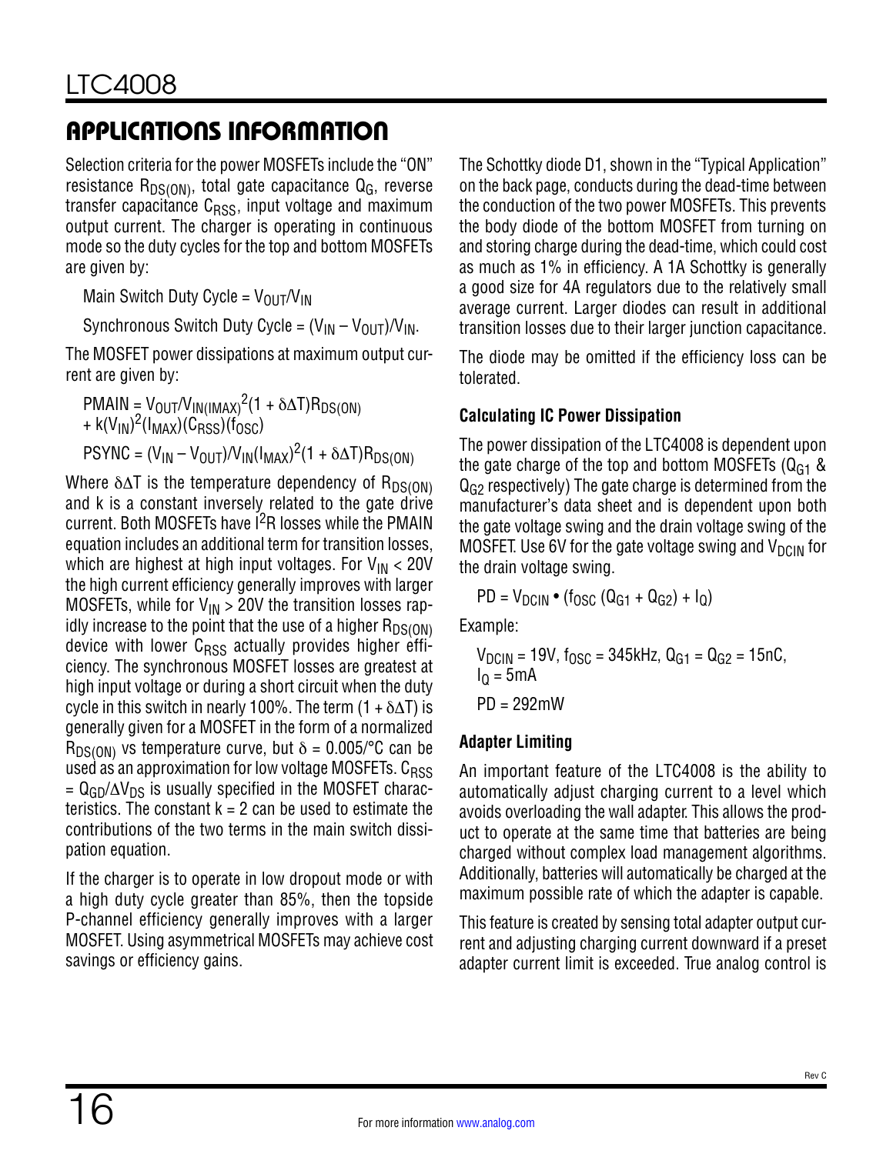Selection criteria for the power MOSFETs include the "ON" resistance  $R_{DS(ON)}$ , total gate capacitance  $Q_G$ , reverse transfer capacitance  $C<sub>RSS</sub>$ , input voltage and maximum output current. The charger is operating in continuous mode so the duty cycles for the top and bottom MOSFETs are given by:

Main Switch Duty Cycle =  $V_{OIII}/V_{IN}$ 

Synchronous Switch Duty Cycle =  $(V_{IN} - V_{OIII})/V_{IN}$ .

The MOSFET power dissipations at maximum output current are given by:

 $PMAIN = V_{OUT}/V_{IN(IMAX)}^2(1 + \delta \Delta T)R_{DS(ON)}$ +  $k(V_{IN})^2(I_{MAX})(C_{RSS})(f'_{OSC})$  $PSYNC = (V_{IN} - V_{OUT})/V_{IN} (I_{MAX})^2 (1 + \delta \Delta T) R_{DS(ON)}$ 

Where  $\delta \Delta T$  is the temperature dependency of R<sub>DS(ON)</sub> and k is a constant inversely related to the gate drive current. Both MOSFETs have I<sup>2</sup>R losses while the PMAIN equation includes an additional term for transition losses, which are highest at high input voltages. For  $V_{IN}$  < 20V the high current efficiency generally improves with larger MOSFETs, while for  $V_{IN} > 20V$  the transition losses rapidly increase to the point that the use of a higher  $R_{DS(ON)}$ device with lower  $C<sub>RSS</sub>$  actually provides higher efficiency. The synchronous MOSFET losses are greatest at high input voltage or during a short circuit when the duty cycle in this switch in nearly 100%. The term  $(1 + \delta \Delta T)$  is generally given for a MOSFET in the form of a normalized  $R_{DS(ON)}$  vs temperature curve, but  $\delta = 0.005$ /°C can be used as an approximation for low voltage MOSFETs.  $C_{RSS}$  $= Q_{GD}/\Delta V_{DS}$  is usually specified in the MOSFET characteristics. The constant  $k = 2$  can be used to estimate the contributions of the two terms in the main switch dissipation equation.

If the charger is to operate in low dropout mode or with a high duty cycle greater than 85%, then the topside P-channel efficiency generally improves with a larger MOSFET. Using asymmetrical MOSFETs may achieve cost savings or efficiency gains.

The Schottky diode D1, shown in the ["Typical Application"](#page-23-0)  on the back page, conducts during the dead-time between the conduction of the two power MOSFETs. This prevents the body diode of the bottom MOSFET from turning on and storing charge during the dead-time, which could cost as much as 1% in efficiency. A 1A Schottky is generally a good size for 4A regulators due to the relatively small average current. Larger diodes can result in additional transition losses due to their larger junction capacitance.

The diode may be omitted if the efficiency loss can be tolerated.

### **Calculating IC Power Dissipation**

The power dissipation of the LTC4008 is dependent upon the gate charge of the top and bottom MOSFETs  $(Q<sub>G1</sub>$  &  $Q<sub>G2</sub>$  respectively) The gate charge is determined from the manufacturer's data sheet and is dependent upon both the gate voltage swing and the drain voltage swing of the MOSFET. Use 6V for the gate voltage swing and  $V_{DCIN}$  for the drain voltage swing.

 $PD = V_{DCIN} \cdot (f_{OSC} (Q_{G1} + Q_{G2}) + I_0)$ 

Example:

$$
V_{DCIN} = 19V
$$
,  $f_{OSC} = 345kHz$ ,  $Q_{G1} = Q_{G2} = 15nC$ ,  
 $I_Q = 5mA$   
PD = 292mW

### **Adapter Limiting**

An important feature of the LTC4008 is the ability to automatically adjust charging current to a level which avoids overloading the wall adapter. This allows the product to operate at the same time that batteries are being charged without complex load management algorithms. Additionally, batteries will automatically be charged at the maximum possible rate of which the adapter is capable.

This feature is created by sensing total adapter output current and adjusting charging current downward if a preset adapter current limit is exceeded. True analog control is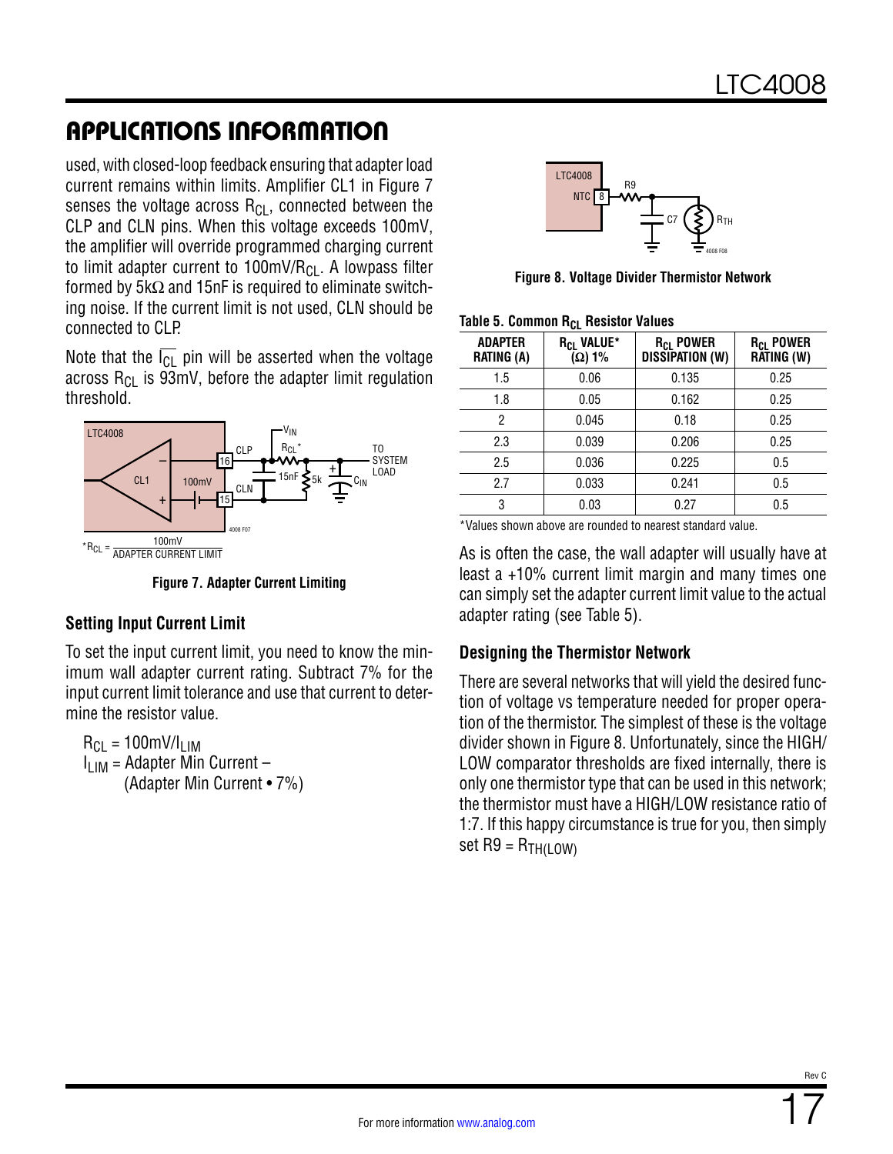used, with closed-loop feedback ensuring that adapter load current remains within limits. Amplifier CL1 in [Figure 7](#page-16-0) senses the voltage across  $R_{Cl}$ , connected between the CLP and CLN pins. When this voltage exceeds 100mV, the amplifier will override programmed charging current to limit adapter current to  $100 \text{mV/R}_{\text{Cl}}$ . A lowpass filter formed by  $5k\Omega$  and 15nF is required to eliminate switching noise. If the current limit is not used, CLN should be connected to CLP.

Note that the  $\overline{I_{Cl}}$  pin will be asserted when the voltage across  $R_{Cl}$  is 93mV, before the adapter limit regulation threshold.



**Figure 7. Adapter Current Limiting**

#### **Setting Input Current Limit**

To set the input current limit, you need to know the minimum wall adapter current rating. Subtract 7% for the input current limit tolerance and use that current to determine the resistor value.

 $R_{CI}$  = 100mV/I<sub>LIM</sub>  $I_{\text{LIM}}$  = Adapter Min Current – (Adapter Min Current • 7%)

<span id="page-16-2"></span>

**Figure 8. Voltage Divider Thermistor Network**

| ับL                                 |                                         |                                                       |                                           |  |  |
|-------------------------------------|-----------------------------------------|-------------------------------------------------------|-------------------------------------------|--|--|
| <b>ADAPTER</b><br><b>RATING (A)</b> | R <sub>CL</sub> VALUE*<br>$(\Omega)$ 1% | <b>R<sub>CL</sub> POWER</b><br><b>DISSIPATION (W)</b> | <b>R<sub>CL</sub> POWER</b><br>RATING (W) |  |  |
| 1.5                                 | 0.06                                    | 0.135                                                 | 0.25                                      |  |  |
| 1.8                                 | 0.05                                    | 0.162                                                 | 0.25                                      |  |  |
| 2                                   | 0.045                                   | 0.18                                                  | 0.25                                      |  |  |
| 2.3                                 | 0.039                                   | 0.206                                                 | 0.25                                      |  |  |
| 2.5                                 | 0.036                                   | 0.225                                                 | 0.5                                       |  |  |
| 2.7                                 | 0.033                                   | 0.241                                                 | 0.5                                       |  |  |
| 3                                   | 0.03                                    | 0.27                                                  | 0.5                                       |  |  |

<span id="page-16-1"></span>**Table 5. Common Rc. Resistor Values** 

\*Values shown above are rounded to nearest standard value.

<span id="page-16-0"></span>As is often the case, the wall adapter will usually have at least a +10% current limit margin and many times one can simply set the adapter current limit value to the actual adapter rating (see [Table 5\)](#page-16-1).

#### **Designing the Thermistor Network**

There are several networks that will yield the desired function of voltage vs temperature needed for proper operation of the thermistor. The simplest of these is the voltage divider shown in [Figure 8.](#page-16-2) Unfortunately, since the HIGH/ LOW comparator thresholds are fixed internally, there is only one thermistor type that can be used in this network; the thermistor must have a HIGH/LOW resistance ratio of 1:7. If this happy circumstance is true for you, then simply set  $R9 = R<sub>TH(I|OW)</sub>$ </sub>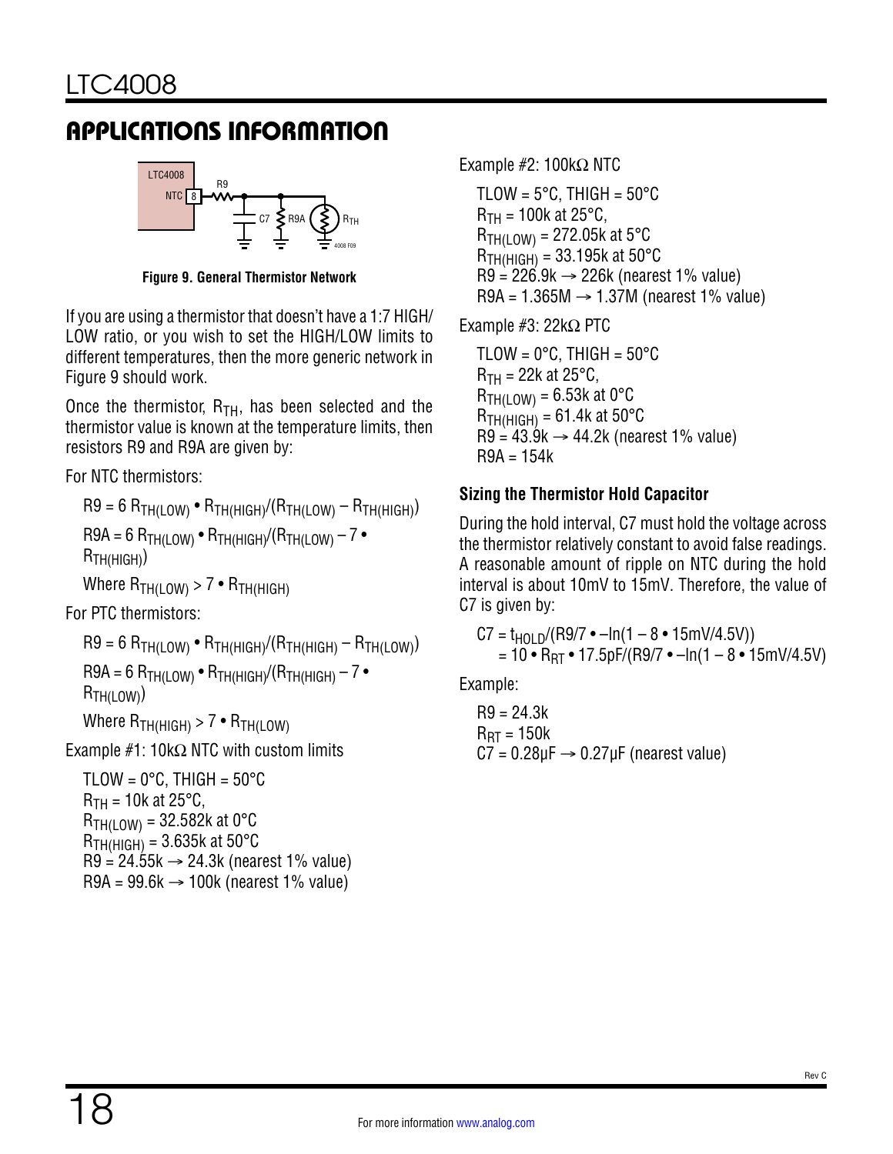

**Figure 9. General Thermistor Network**

If you are using a thermistor that doesn't have a 1:7 HIGH/ LOW ratio, or you wish to set the HIGH/LOW limits to different temperatures, then the more generic network in [Figure 9](#page-17-0) should work.

Once the thermistor,  $R_{TH}$ , has been selected and the thermistor value is known at the temperature limits, then resistors R9 and R9A are given by:

For NTC thermistors:

```
R9 = 6 R<sub>TH(LOW)</sub> • R<sub>TH(HIGH)</sub>/(R<sub>TH(LOW)</sub> – R<sub>TH(HIGH)</sub>)
```

```
R9A = 6 R<sub>TH(LOW)</sub> • R<sub>TH(HIGH)</sub>/(R<sub>TH(LOW)</sub> – 7 •RTH(HIGH))
```

```
Where R_{TH(LOW)} > 7 \cdot R_{TH(HIGH)}
```
For PTC thermistors:

 $R9 = 6 R<sub>TH(LOW)</sub>$  •  $R<sub>TH(HIGH)</sub>/(R<sub>TH(HIGH)</sub> - R<sub>TH(LOW)</sub>)$ 

 $R9A = 6 R_{TH(LOW)} \cdot R_{TH(HIGH)}/(R_{TH(HIGH)} - 7 \cdot R_{TH(HGH)}$ R<sub>TH(LOW)</sub>)

Where  $R_{TH(HIGH)} > 7 \cdot R_{TH(LOW)}$ 

Example  $#1: 10k\Omega$  NTC with custom limits

TLOW =  $0^{\circ}$ C, THIGH =  $50^{\circ}$ C  $R_{TH}$  = 10k at 25°C,  $R_{TH(LOW)} = 32.582k$  at 0°C  $R$ <sub>TH(HIGH)</sub> = 3.635k at 50 $\degree$ C  $R9 = 24.55k \rightarrow 24.3k$  (nearest 1% value) R9A =  $99.6k \rightarrow 100k$  (nearest 1% value)

Example #2: 100kΩ NTC

TLOW =  $5^{\circ}$ C, THIGH =  $50^{\circ}$ C  $R_{TH}$  = 100k at 25°C,  $R_{TH(LOW)} = 272.05k$  at 5°C  $R$ <sub>TH(HIGH)</sub> = 33.195k at 50 $\degree$ C  $R9 = 226.9k \rightarrow 226k$  (nearest 1% value) R9A =  $1.365M \rightarrow 1.37M$  (nearest 1% value)

<span id="page-17-0"></span>Example #3: 22kΩ PTC

TLOW =  $0^{\circ}$ C, THIGH =  $50^{\circ}$ C  $R_{TH}$  = 22k at 25°C,  $R_{TH(LOW)} = 6.53k$  at 0°C  $R_{TH(HIGH)} = 61.4k$  at 50°C  $R9 = 43.9k \rightarrow 44.2k$  (nearest 1% value)  $R9A = 154k$ 

### **Sizing the Thermistor Hold Capacitor**

During the hold interval, C7 must hold the voltage across the thermistor relatively constant to avoid false readings. A reasonable amount of ripple on NTC during the hold interval is about 10mV to 15mV. Therefore, the value of C7 is given by:

 $C7 = t_{HOL} \frac{P}{P}$ (R9/7 • –ln(1 – 8 • 15mV/4.5V))  $= 10 \cdot R_{BT} \cdot 17.5pF/(R9/7 \cdot -ln(1 - 8 \cdot 15m)/4.5V)$ 

Example:

R9 = 24.3k  $R_{\text{RT}} = 150k$  $C7 = 0.28 \mu F \rightarrow 0.27 \mu F$  (nearest value)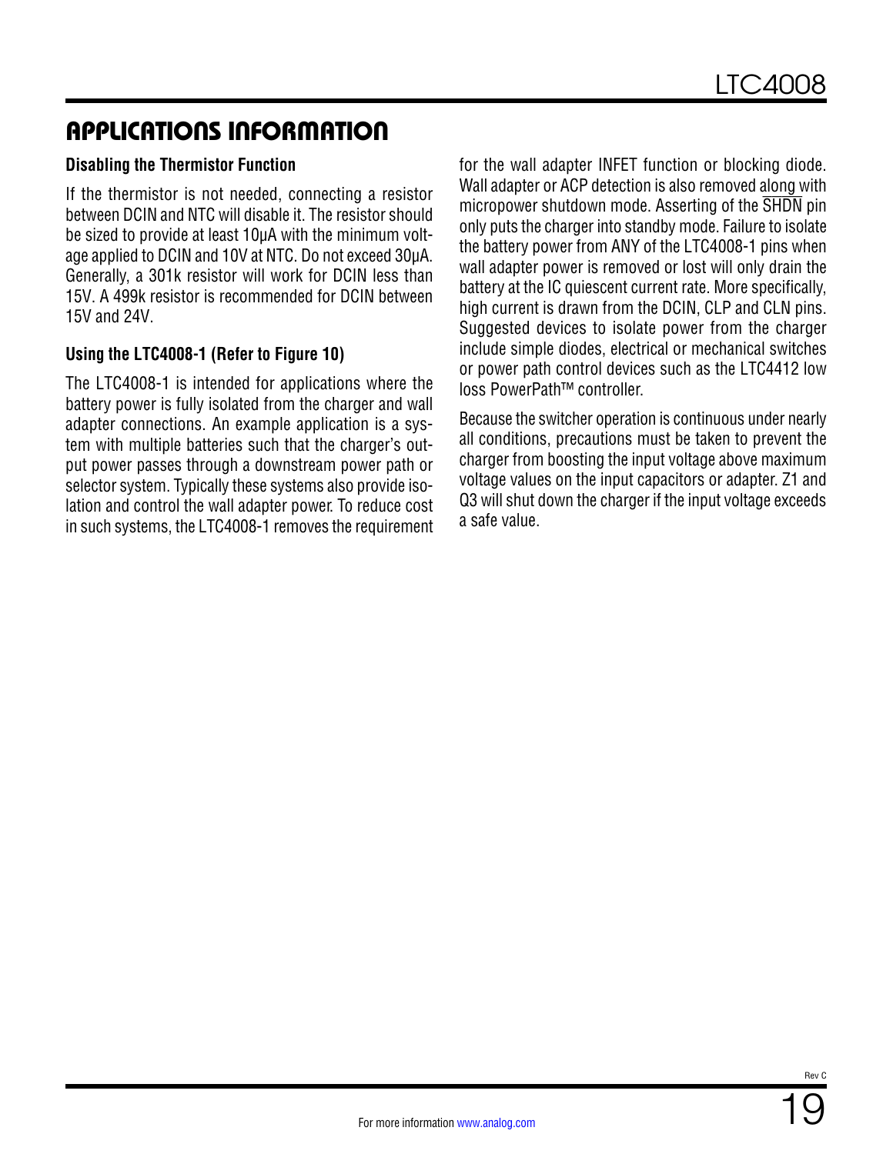#### **Disabling the Thermistor Function**

If the thermistor is not needed, connecting a resistor between DCIN and NTC will disable it. The resistor should be sized to provide at least 10µA with the minimum voltage applied to DCIN and 10V at NTC. Do not exceed 30µA. Generally, a 301k resistor will work for DCIN less than 15V. A 499k resistor is recommended for DCIN between 15V and 24V.

#### **Using the LTC4008-1 (Refer to [Figure 10](#page-19-0))**

The LTC4008-1 is intended for applications where the battery power is fully isolated from the charger and wall adapter connections. An example application is a system with multiple batteries such that the charger's output power passes through a downstream power path or selector system. Typically these systems also provide isolation and control the wall adapter power. To reduce cost in such systems, the LTC4008-1 removes the requirement for the wall adapter INFET function or blocking diode. Wall adapter or ACP detection is also removed along with micropower shutdown mode. Asserting of the SHDN pin only puts the charger into standby mode. Failure to isolate the battery power from ANY of the LTC4008-1 pins when wall adapter power is removed or lost will only drain the battery at the IC quiescent current rate. More specifically, high current is drawn from the DCIN, CLP and CLN pins. Suggested devices to isolate power from the charger include simple diodes, electrical or mechanical switches or power path control devices such as the LTC4412 low loss PowerPath™ controller.

Because the switcher operation is continuous under nearly all conditions, precautions must be taken to prevent the charger from boosting the input voltage above maximum voltage values on the input capacitors or adapter. Z1 and Q3 will shut down the charger if the input voltage exceeds a safe value.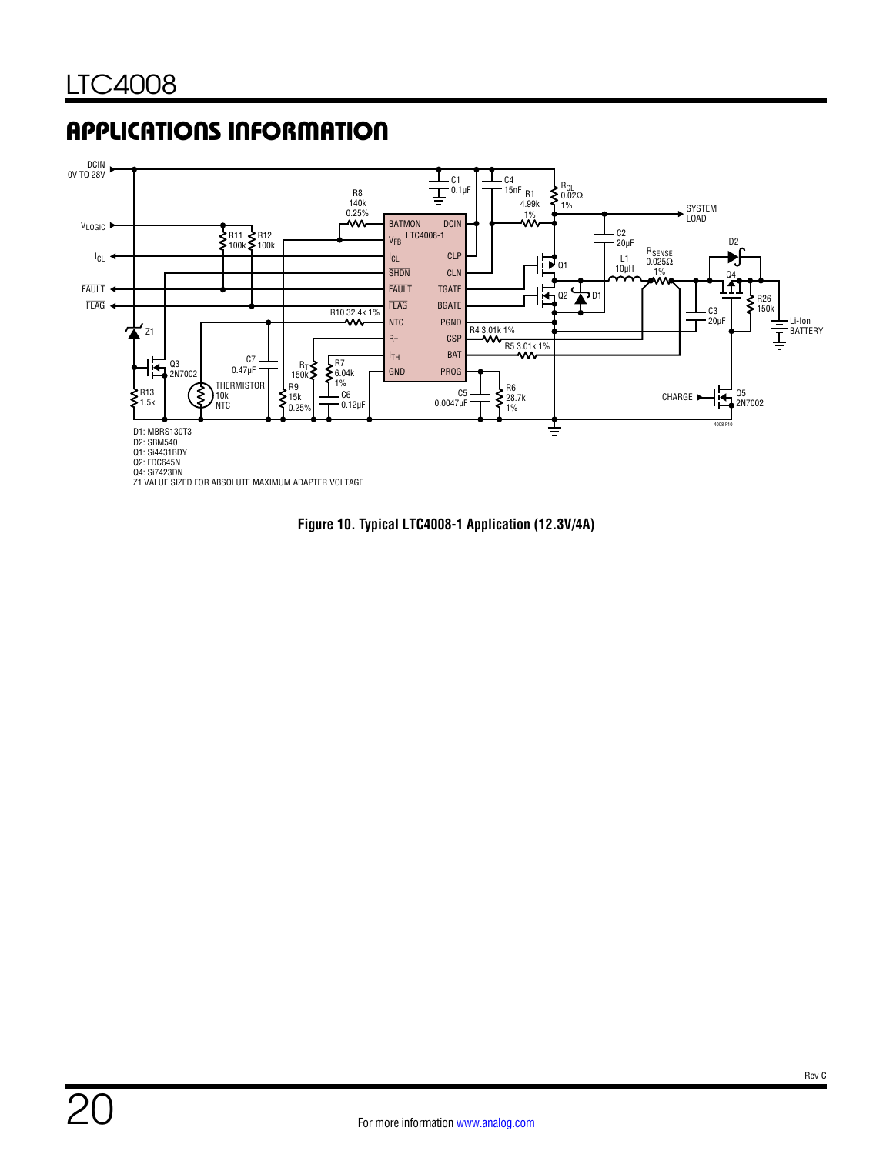

Z1 VALUE SIZED FOR ABSOLUTE MAXIMUM ADAPTER VOLTAGE

<span id="page-19-0"></span>**Figure 10. Typical LTC4008-1 Application (12.3V/4A)**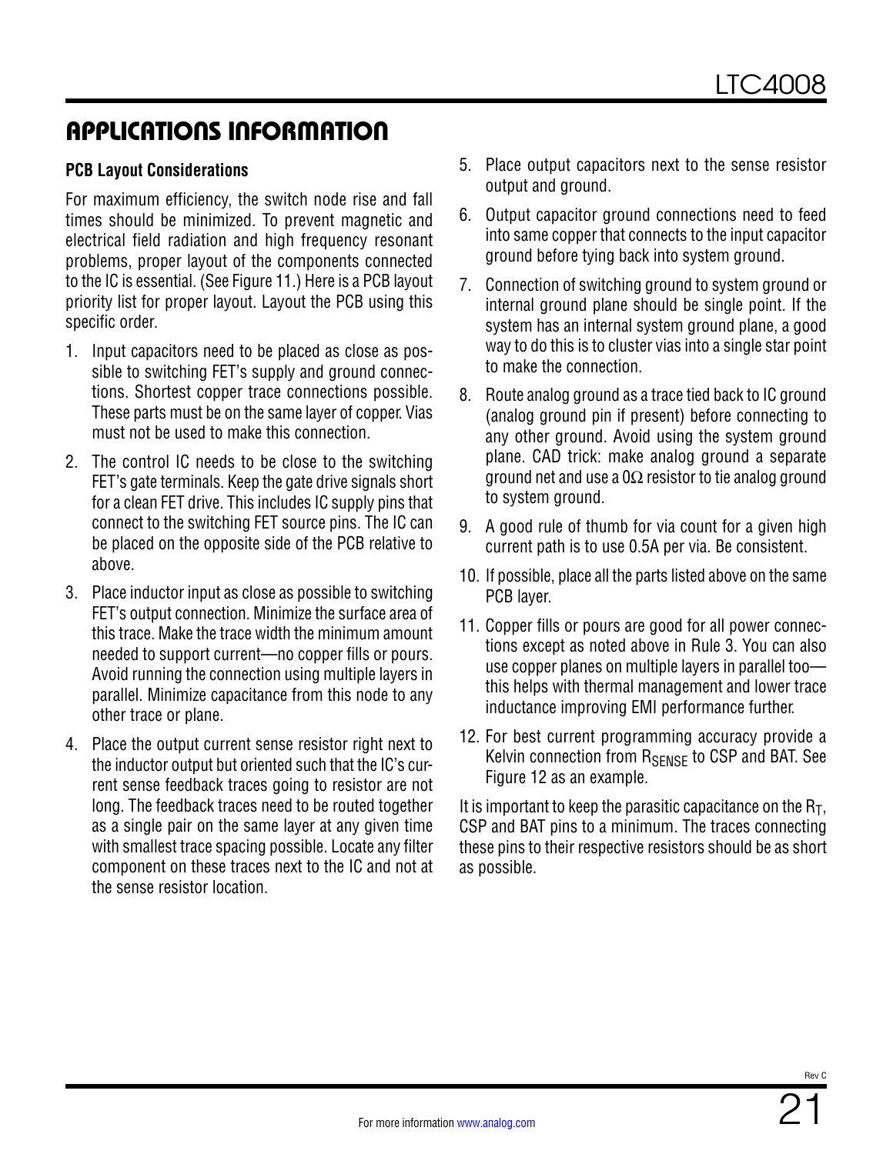#### **PCB Layout Considerations**

For maximum efficiency, the switch node rise and fall times should be minimized. To prevent magnetic and electrical field radiation and high frequency resonant problems, proper layout of the components connected to the IC is essential. (See [Figure 11](#page-21-0).) Here is a PCB layout priority list for proper layout. Layout the PCB using this specific order.

- 1. Input capacitors need to be placed as close as possible to switching FET's supply and ground connections. Shortest copper trace connections possible. These parts must be on the same layer of copper. Vias must not be used to make this connection.
- 2. The control IC needs to be close to the switching FET's gate terminals. Keep the gate drive signals short for a clean FET drive. This includes IC supply pins that connect to the switching FET source pins. The IC can be placed on the opposite side of the PCB relative to above.
- 3. Place inductor input as close as possible to switching FET's output connection. Minimize the surface area of this trace. Make the trace width the minimum amount needed to support current—no copper fills or pours. Avoid running the connection using multiple layers in parallel. Minimize capacitance from this node to any other trace or plane.
- 4. Place the output current sense resistor right next to the inductor output but oriented such that the IC's current sense feedback traces going to resistor are not long. The feedback traces need to be routed together as a single pair on the same layer at any given time with smallest trace spacing possible. Locate any filter component on these traces next to the IC and not at the sense resistor location.
- 5. Place output capacitors next to the sense resistor output and ground.
- 6. Output capacitor ground connections need to feed into same copper that connects to the input capacitor ground before tying back into system ground.
- 7. Connection of switching ground to system ground or internal ground plane should be single point. If the system has an internal system ground plane, a good way to do this is to cluster vias into a single star point to make the connection.
- 8. Route analog ground as a trace tied back to IC ground (analog ground pin if present) before connecting to any other ground. Avoid using the system ground plane. CAD trick: make analog ground a separate ground net and use a  $0\Omega$  resistor to tie analog ground to system ground.
- 9. A good rule of thumb for via count for a given high current path is to use 0.5A per via. Be consistent.
- 10. If possible, place all the parts listed above on the same PCB layer.
- 11. Copper fills or pours are good for all power connections except as noted above in Rule 3. You can also use copper planes on multiple layers in parallel too this helps with thermal management and lower trace inductance improving EMI performance further.
- 12. For best current programming accuracy provide a Kelvin connection from  $R_{\text{SENSF}}$  to CSP and BAT. See [Figure 12](#page-21-1) as an example.

It is important to keep the parasitic capacitance on the  $R<sub>T</sub>$ , CSP and BAT pins to a minimum. The traces connecting these pins to their respective resistors should be as short as possible.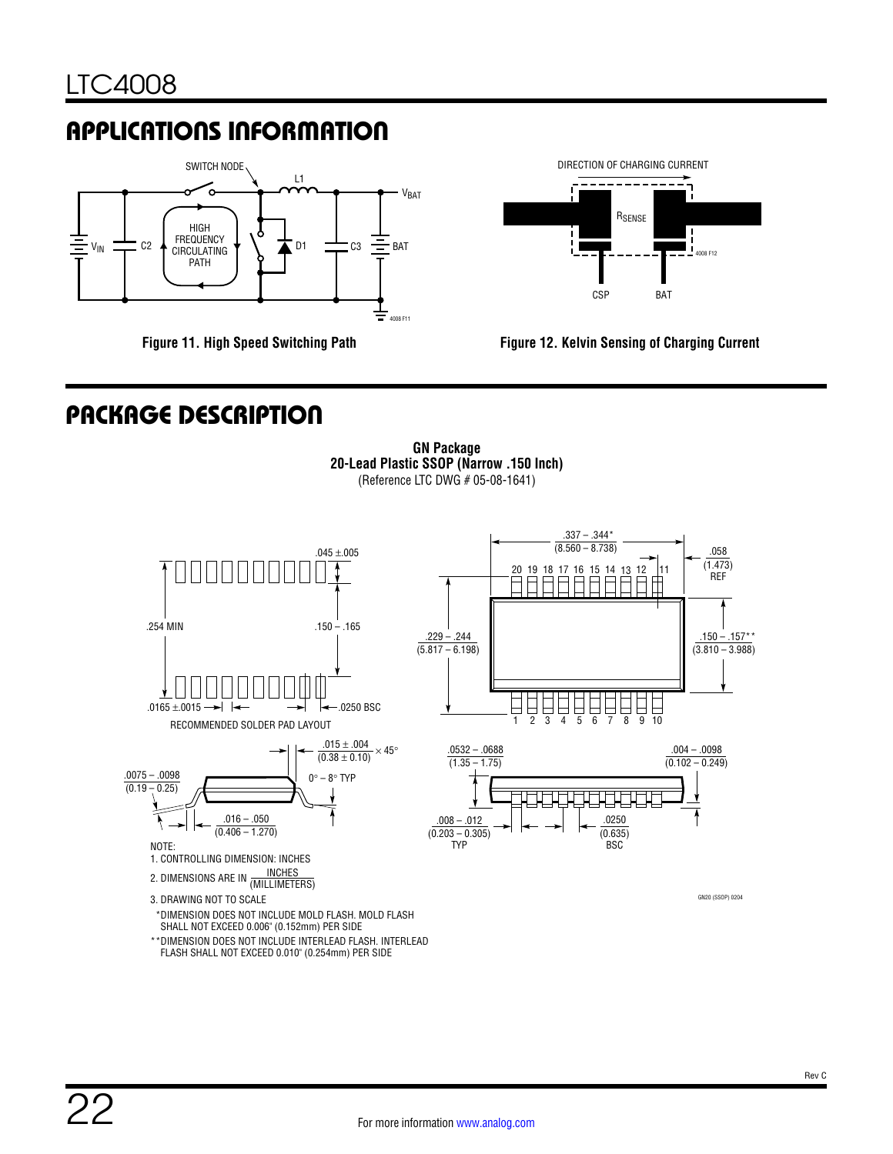

**Figure 11. High Speed Switching Path**



<span id="page-21-1"></span>

## PACKAGE DESCRIPTION

<span id="page-21-0"></span>**GN Package 20-Lead Plastic SSOP (Narrow .150 Inch)** (Reference LTC DWG # 05-08-1641)

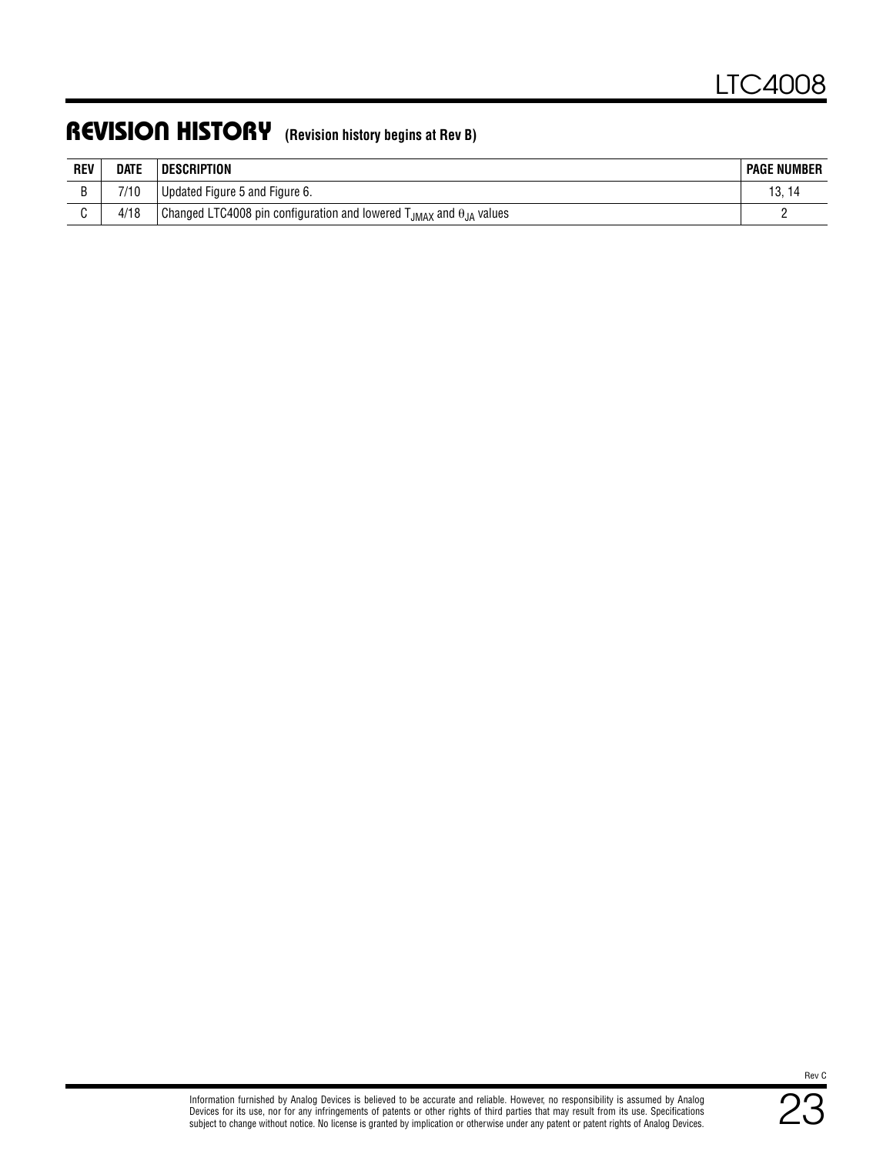## REVISION HISTORY **(Revision history begins at Rev B)**

| <b>REV</b> | <b>DATE</b> | <b>DESCRIPTION</b>                                                                | <b>PAGE NUMBER</b> |
|------------|-------------|-----------------------------------------------------------------------------------|--------------------|
|            | 7/10        | Updated Figure 5 and Figure 6.                                                    | 13.14              |
|            | 4/18        | Changed LTC4008 pin configuration and lowered $T_{JMAX}$ and $\theta_{JA}$ values |                    |